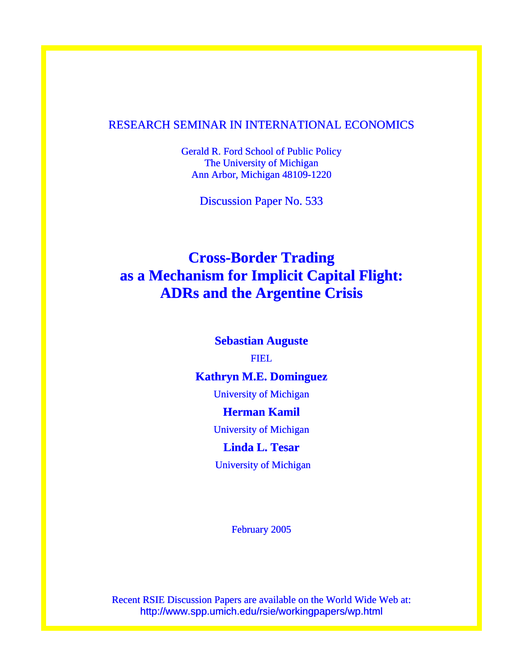### RESEARCH SEMINAR IN INTERNATIONAL ECONOMICS

Gerald R. Ford School of Public Policy The University of Michigan Ann Arbor, Michigan 48109-1220

Discussion Paper No. 533

# **Cross-Border Trading as a Mechanism for Implicit Capital Flight: ADRs and the Argentine Crisis**

# **Sebastian Auguste**

### FIEL

### **Kathryn M.E. Dominguez**

University of Michigan

### **Herman Kamil**

University of Michigan

### **Linda L. Tesar**

University of Michigan

February 2005

Recent RSIE Discussion Papers are available on the World Wide Web at: http://www.spp.umich.edu/rsie/workingpapers/wp.html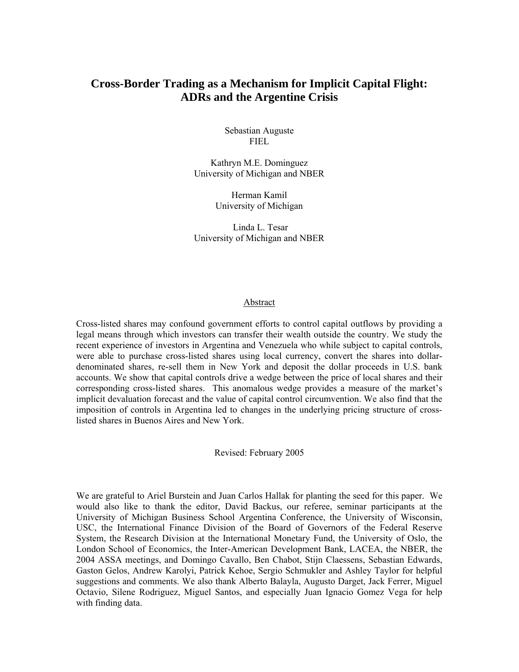### **Cross-Border Trading as a Mechanism for Implicit Capital Flight: ADRs and the Argentine Crisis**

Sebastian Auguste FIEL

Kathryn M.E. Dominguez University of Michigan and NBER

> Herman Kamil University of Michigan

 Linda L. Tesar University of Michigan and NBER

#### Abstract

Cross-listed shares may confound government efforts to control capital outflows by providing a legal means through which investors can transfer their wealth outside the country. We study the recent experience of investors in Argentina and Venezuela who while subject to capital controls, were able to purchase cross-listed shares using local currency, convert the shares into dollardenominated shares, re-sell them in New York and deposit the dollar proceeds in U.S. bank accounts. We show that capital controls drive a wedge between the price of local shares and their corresponding cross-listed shares. This anomalous wedge provides a measure of the market's implicit devaluation forecast and the value of capital control circumvention. We also find that the imposition of controls in Argentina led to changes in the underlying pricing structure of crosslisted shares in Buenos Aires and New York.

#### Revised: February 2005

We are grateful to Ariel Burstein and Juan Carlos Hallak for planting the seed for this paper. We would also like to thank the editor, David Backus, our referee, seminar participants at the University of Michigan Business School Argentina Conference, the University of Wisconsin, USC, the International Finance Division of the Board of Governors of the Federal Reserve System, the Research Division at the International Monetary Fund, the University of Oslo, the London School of Economics, the Inter-American Development Bank, LACEA, the NBER, the 2004 ASSA meetings, and Domingo Cavallo, Ben Chabot, Stijn Claessens, Sebastian Edwards, Gaston Gelos, Andrew Karolyi, Patrick Kehoe, Sergio Schmukler and Ashley Taylor for helpful suggestions and comments. We also thank Alberto Balayla, Augusto Darget, Jack Ferrer, Miguel Octavio, Silene Rodriguez, Miguel Santos, and especially Juan Ignacio Gomez Vega for help with finding data.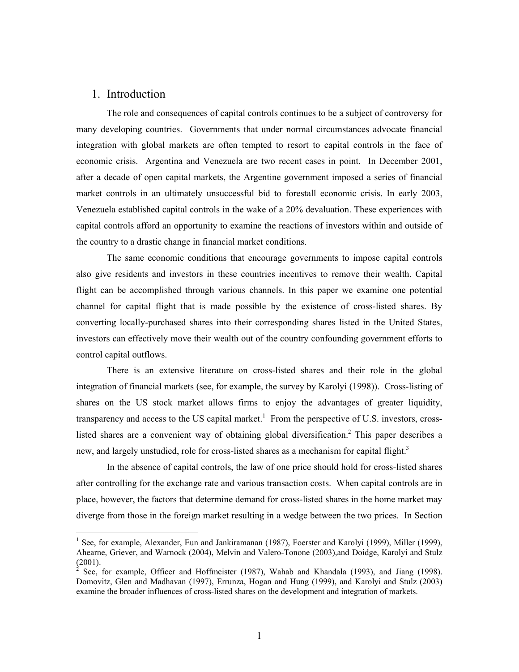#### 1. Introduction

<span id="page-2-2"></span> $\overline{a}$ 

The role and consequences of capital controls continues to be a subject of controversy for many developing countries. Governments that under normal circumstances advocate financial integration with global markets are often tempted to resort to capital controls in the face of economic crisis. Argentina and Venezuela are two recent cases in point. In December 2001, after a decade of open capital markets, the Argentine government imposed a series of financial market controls in an ultimately unsuccessful bid to forestall economic crisis. In early 2003, Venezuela established capital controls in the wake of a 20% devaluation. These experiences with capital controls afford an opportunity to examine the reactions of investors within and outside of the country to a drastic change in financial market conditions.

The same economic conditions that encourage governments to impose capital controls also give residents and investors in these countries incentives to remove their wealth. Capital flight can be accomplished through various channels. In this paper we examine one potential channel for capital flight that is made possible by the existence of cross-listed shares. By converting locally-purchased shares into their corresponding shares listed in the United States, investors can effectively move their wealth out of the country confounding government efforts to control capital outflows.

There is an extensive literature on cross-listed shares and their role in the global integration of financial markets (see, for example, the survey by Karolyi (1998)). Cross-listing of shares on the US stock market allows firms to enjoy the advantages of greater liquidity, transparency and access to the US capital market.<sup>[1](#page-2-0)</sup> From the perspective of U.S. investors, cross-listed shares are a convenient way of obtaining global diversification.<sup>[2](#page-2-1)</sup> This paper describes a new, and largely unstudied, role for cross-listed shares as a mechanism for capital flight.<sup>[3](#page-2-2)</sup>

In the absence of capital controls, the law of one price should hold for cross-listed shares after controlling for the exchange rate and various transaction costs. When capital controls are in place, however, the factors that determine demand for cross-listed shares in the home market may diverge from those in the foreign market resulting in a wedge between the two prices. In Section

<span id="page-2-0"></span><sup>&</sup>lt;sup>1</sup> See, for example, Alexander, Eun and Jankiramanan (1987), Foerster and Karolyi (1999), Miller (1999), Ahearne, Griever, and Warnock (2004), Melvin and Valero-Tonone (2003),and Doidge, Karolyi and Stulz  $(2001).$ 

<span id="page-2-1"></span>See, for example, Officer and Hoffmeister (1987), Wahab and Khandala (1993), and Jiang (1998). Domovitz, Glen and Madhavan (1997), Errunza, Hogan and Hung (1999), and Karolyi and Stulz (2003) examine the broader influences of cross-listed shares on the development and integration of markets.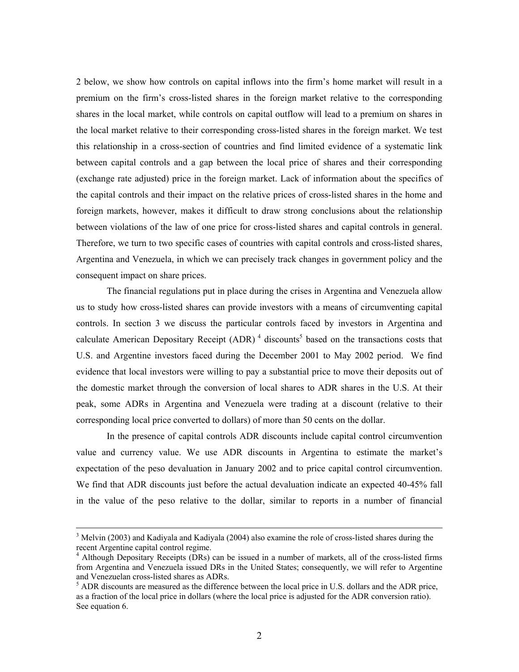2 below, we show how controls on capital inflows into the firm's home market will result in a premium on the firm's cross-listed shares in the foreign market relative to the corresponding shares in the local market, while controls on capital outflow will lead to a premium on shares in the local market relative to their corresponding cross-listed shares in the foreign market. We test this relationship in a cross-section of countries and find limited evidence of a systematic link between capital controls and a gap between the local price of shares and their corresponding (exchange rate adjusted) price in the foreign market. Lack of information about the specifics of the capital controls and their impact on the relative prices of cross-listed shares in the home and foreign markets, however, makes it difficult to draw strong conclusions about the relationship between violations of the law of one price for cross-listed shares and capital controls in general. Therefore, we turn to two specific cases of countries with capital controls and cross-listed shares, Argentina and Venezuela, in which we can precisely track changes in government policy and the consequent impact on share prices.

The financial regulations put in place during the crises in Argentina and Venezuela allow us to study how cross-listed shares can provide investors with a means of circumventing capital controls. In section 3 we discuss the particular controls faced by investors in Argentina and calculate American Depositary Receipt  $(ADR)$ <sup>4</sup> discounts<sup>[5](#page-3-1)</sup> based on the transactions costs that U.S. and Argentine investors faced during the December 2001 to May 2002 period. We find evidence that local investors were willing to pay a substantial price to move their deposits out of the domestic market through the conversion of local shares to ADR shares in the U.S. At their peak, some ADRs in Argentina and Venezuela were trading at a discount (relative to their corresponding local price converted to dollars) of more than 50 cents on the dollar.

In the presence of capital controls ADR discounts include capital control circumvention value and currency value. We use ADR discounts in Argentina to estimate the market's expectation of the peso devaluation in January 2002 and to price capital control circumvention. We find that ADR discounts just before the actual devaluation indicate an expected 40-45% fall in the value of the peso relative to the dollar, similar to reports in a number of financial

 <sup>3</sup> <sup>3</sup> Melvin (2003) and Kadiyala and Kadiyala (2004) also examine the role of cross-listed shares during the recent Argentine capital control regime. 4

<span id="page-3-0"></span><sup>&</sup>lt;sup>4</sup> Although Depositary Receipts (DRs) can be issued in a number of markets, all of the cross-listed firms from Argentina and Venezuela issued DRs in the United States; consequently, we will refer to Argentine and Venezuelan cross-listed shares as ADRs.

<span id="page-3-1"></span><sup>&</sup>lt;sup>5</sup> ADR discounts are measured as the difference between the local price in U.S. dollars and the ADR price, as a fraction of the local price in dollars (where the local price is adjusted for the ADR conversion ratio). See equation 6.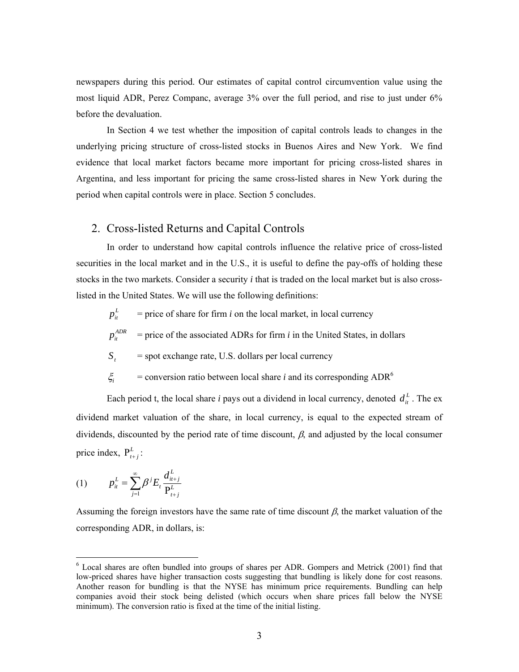newspapers during this period. Our estimates of capital control circumvention value using the most liquid ADR, Perez Companc, average 3% over the full period, and rise to just under 6% before the devaluation.

In Section 4 we test whether the imposition of capital controls leads to changes in the underlying pricing structure of cross-listed stocks in Buenos Aires and New York. We find evidence that local market factors became more important for pricing cross-listed shares in Argentina, and less important for pricing the same cross-listed shares in New York during the period when capital controls were in place. Section 5 concludes.

#### 2. Cross-listed Returns and Capital Controls

In order to understand how capital controls influence the relative price of cross-listed securities in the local market and in the U.S., it is useful to define the pay-offs of holding these stocks in the two markets. Consider a security *i* that is traded on the local market but is also crosslisted in the United States. We will use the following definitions:

 $p_{\mu}^L$  $=$  price of share for firm  $i$  on the local market, in local currency

 $p_{\scriptscriptstyle i\tau}^{\scriptscriptstyle ADR}$  $\overline{p}$  = price of the associated ADRs for firm *i* in the United States, in dollars

 $S_{\text{t}}$  = spot exchange rate, U.S. dollars per local currency

 $\xi$  = conversion ratio between local share *i* and its corresponding ADR<sup>[6](#page-4-0)</sup>

Each period t, the local share *i* pays out a dividend in local currency, denoted  $d_i^L$ . The ex dividend market valuation of the share, in local currency, is equal to the expected stream of dividends, discounted by the period rate of time discount,  $\beta$ , and adjusted by the local consumer price index,  $P_{t+i}^L$ :

(1) 
$$
p_{it}^L = \sum_{j=1}^{\infty} \beta^j E_t \frac{d_{it+j}^L}{P_{t+j}^L}
$$

 $\overline{a}$ 

Assuming the foreign investors have the same rate of time discount  $\beta$ , the market valuation of the corresponding ADR, in dollars, is:

<span id="page-4-0"></span><sup>&</sup>lt;sup>6</sup> Local shares are often bundled into groups of shares per ADR. Gompers and Metrick (2001) find that low-priced shares have higher transaction costs suggesting that bundling is likely done for cost reasons. Another reason for bundling is that the NYSE has minimum price requirements. Bundling can help companies avoid their stock being delisted (which occurs when share prices fall below the NYSE minimum). The conversion ratio is fixed at the time of the initial listing.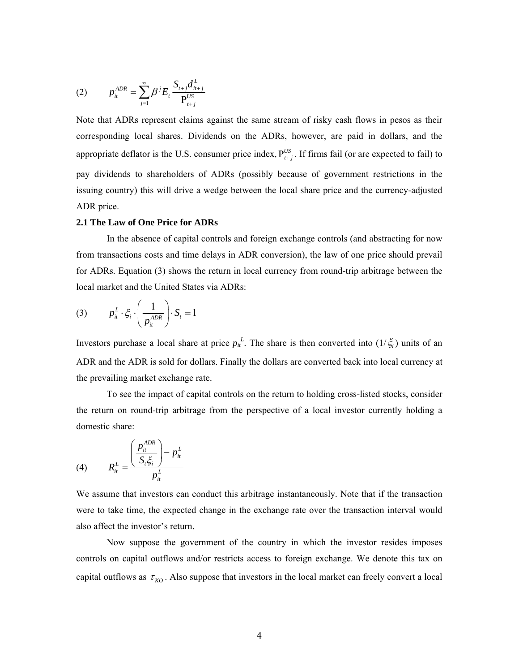(2) 
$$
p_{it}^{ADR} = \sum_{j=1}^{\infty} \beta^{j} E_{t} \frac{S_{t+j} d_{it+j}^{L}}{P_{t+j}^{US}}
$$

Note that ADRs represent claims against the same stream of risky cash flows in pesos as their corresponding local shares. Dividends on the ADRs, however, are paid in dollars, and the appropriate deflator is the U.S. consumer price index,  $P_{t+j}^{US}$ . If firms fail (or are expected to fail) to pay dividends to shareholders of ADRs (possibly because of government restrictions in the issuing country) this will drive a wedge between the local share price and the currency-adjusted ADR price.

#### **2.1 The Law of One Price for ADRs**

In the absence of capital controls and foreign exchange controls (and abstracting for now from transactions costs and time delays in ADR conversion), the law of one price should prevail for ADRs. Equation (3) shows the return in local currency from round-trip arbitrage between the local market and the United States via ADRs:

$$
(3) \t p_{ii}^L \cdot \xi_i \cdot \left(\frac{1}{p_{ii}^{ADR}}\right) \cdot S_t = 1
$$

Investors purchase a local share at price  $p_{it}^L$ . The share is then converted into  $(1/\xi_i)$  units of an ADR and the ADR is sold for dollars. Finally the dollars are converted back into local currency at the prevailing market exchange rate.

To see the impact of capital controls on the return to holding cross-listed stocks, consider the return on round-trip arbitrage from the perspective of a local investor currently holding a domestic share:

$$
(4) \t R_{ii}^L = \frac{\left(\frac{p_{ii}^{ADR}}{S_i \xi_i}\right) - p_{ii}^L}{p_{ii}^L}
$$

We assume that investors can conduct this arbitrage instantaneously. Note that if the transaction were to take time, the expected change in the exchange rate over the transaction interval would also affect the investor's return.

Now suppose the government of the country in which the investor resides imposes controls on capital outflows and/or restricts access to foreign exchange. We denote this tax on capital outflows as  $\tau_{\kappa 0}$ . Also suppose that investors in the local market can freely convert a local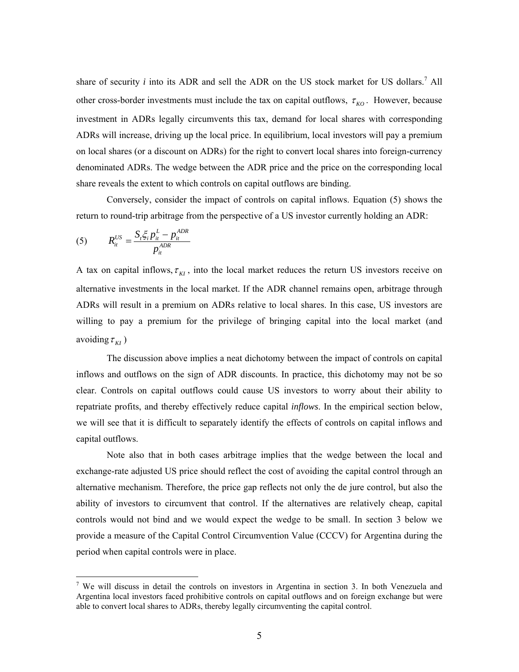shareof security  $i$  into its ADR and sell the ADR on the US stock market for US dollars.<sup>7</sup> All other cross-border investments must include the tax on capital outflows,  $\tau_{K0}$ . However, because investment in ADRs legally circumvents this tax, demand for local shares with corresponding ADRs will increase, driving up the local price. In equilibrium, local investors will pay a premium on local shares (or a discount on ADRs) for the right to convert local shares into foreign-currency denominated ADRs. The wedge between the ADR price and the price on the corresponding local share reveals the extent to which controls on capital outflows are binding.

Conversely, consider the impact of controls on capital inflows. Equation (5) shows the return to round-trip arbitrage from the perspective of a US investor currently holding an ADR:

(5) 
$$
R_{it}^{US} = \frac{S_t \xi_i p_{it}^L - p_{it}^{ADR}}{p_{it}^{ADR}}
$$

 $\overline{a}$ 

A tax on capital inflows,  $\tau_{\kappa}$ , into the local market reduces the return US investors receive on alternative investments in the local market. If the ADR channel remains open, arbitrage through ADRs will result in a premium on ADRs relative to local shares. In this case, US investors are willing to pay a premium for the privilege of bringing capital into the local market (and avoiding  $\tau_{\scriptscriptstyle{KI}}$ )

The discussion above implies a neat dichotomy between the impact of controls on capital inflows and outflows on the sign of ADR discounts. In practice, this dichotomy may not be so clear. Controls on capital outflows could cause US investors to worry about their ability to repatriate profits, and thereby effectively reduce capital *inflows*. In the empirical section below, we will see that it is difficult to separately identify the effects of controls on capital inflows and capital outflows.

Note also that in both cases arbitrage implies that the wedge between the local and exchange-rate adjusted US price should reflect the cost of avoiding the capital control through an alternative mechanism. Therefore, the price gap reflects not only the de jure control, but also the ability of investors to circumvent that control. If the alternatives are relatively cheap, capital controls would not bind and we would expect the wedge to be small. In section 3 below we provide a measure of the Capital Control Circumvention Value (CCCV) for Argentina during the period when capital controls were in place.

<span id="page-6-0"></span><sup>&</sup>lt;sup>7</sup> We will discuss in detail the controls on investors in Argentina in section 3. In both Venezuela and Argentina local investors faced prohibitive controls on capital outflows and on foreign exchange but were able to convert local shares to ADRs, thereby legally circumventing the capital control.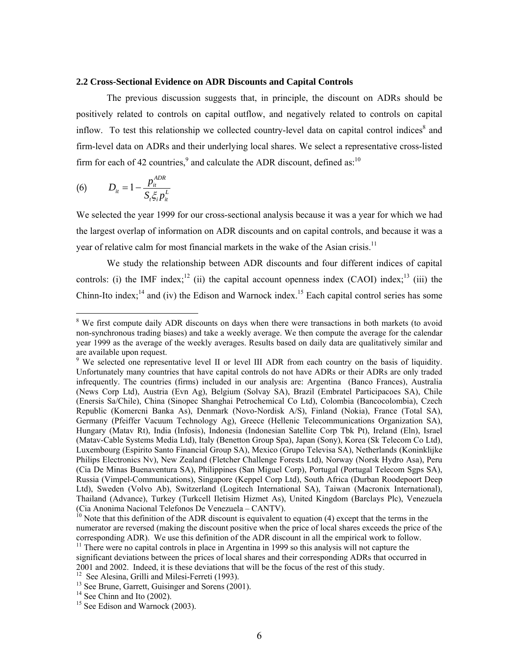#### **2.2 Cross-Sectional Evidence on ADR Discounts and Capital Controls**

The previous discussion suggests that, in principle, the discount on ADRs should be positively related to controls on capital outflow, and negatively related to controls on capital inflow. To test this relationship we collected country-level data on capital control indices<sup>[8](#page-7-0)</sup> and firm-level data on ADRs and their underlying local shares. We select a representative cross-listed firmfor each of 42 countries,<sup>9</sup> and calculate the ADR discount, defined as:<sup>[10](#page-7-2)</sup>

(6) 
$$
D_{it} = 1 - \frac{p_{it}^{ADR}}{S_t \xi_i p_{it}^L}
$$

 $\overline{a}$ 

We selected the year 1999 for our cross-sectional analysis because it was a year for which we had the largest overlap of information on ADR discounts and on capital controls, and because it was a year of relative calm for most financial markets in the wake of the Asian crisis.<sup>[11](#page-7-3)</sup>

We study the relationship between ADR discounts and four different indices of capital controls: (i) the IMF index;<sup>12</sup> (ii) the capital account openness index (CAOI) index;<sup>13</sup> (iii) the Chinn-Ito index;<sup>14</sup> and (iv) the Edison and Warnock index.<sup>15</sup> Each capital control series has some

<span id="page-7-0"></span><sup>&</sup>lt;sup>8</sup> We first compute daily ADR discounts on days when there were transactions in both markets (to avoid non-synchronous trading biases) and take a weekly average. We then compute the average for the calendar year 1999 as the average of the weekly averages. Results based on daily data are qualitatively similar and are available upon request.

<span id="page-7-1"></span><sup>&</sup>lt;sup>9</sup> We selected one representative level II or level III ADR from each country on the basis of liquidity. Unfortunately many countries that have capital controls do not have ADRs or their ADRs are only traded infrequently. The countries (firms) included in our analysis are: Argentina (Banco Frances), Australia (News Corp Ltd), Austria (Evn Ag), Belgium (Solvay SA), Brazil (Embratel Participacoes SA), Chile (Enersis Sa/Chile), China (Sinopec Shanghai Petrochemical Co Ltd), Colombia (Bancocolombia), Czech Republic (Komercni Banka As), Denmark (Novo-Nordisk A/S), Finland (Nokia), France (Total SA), Germany (Pfeiffer Vacuum Technology Ag), Greece (Hellenic Telecommunications Organization SA), Hungary (Matav Rt), India (Infosis), Indonesia (Indonesian Satellite Corp Tbk Pt), Ireland (Eln), Israel (Matav-Cable Systems Media Ltd), Italy (Benetton Group Spa), Japan (Sony), Korea (Sk Telecom Co Ltd), Luxembourg (Espirito Santo Financial Group SA), Mexico (Grupo Televisa SA), Netherlands (Koninklijke Philips Electronics Nv), New Zealand (Fletcher Challenge Forests Ltd), Norway (Norsk Hydro Asa), Peru (Cia De Minas Buenaventura SA), Philippines (San Miguel Corp), Portugal (Portugal Telecom Sgps SA), Russia (Vimpel-Communications), Singapore (Keppel Corp Ltd), South Africa (Durban Roodepoort Deep Ltd), Sweden (Volvo Ab), Switzerland (Logitech International SA), Taiwan (Macronix International), Thailand (Advance), Turkey (Turkcell Iletisim Hizmet As), United Kingdom (Barclays Plc), Venezuela (Cia Anonima Nacional Telefonos De Venezuela – CANTV).<br><sup>10</sup> Note that this definition of the ADR discount is equivalent to equation (4) except that the terms in the

<span id="page-7-2"></span>numerator are reversed (making the discount positive when the price of local shares exceeds the price of the corresponding ADR). We use this definition of the ADR discount in all the empirical work to follow. <sup>11</sup> There were no capital controls in place in Argentina in 1999 so this analysis will not capture the

<span id="page-7-3"></span>significant deviations between the prices of local shares and their corresponding ADRs that occurred in 2001 and 2002. Indeed, it is these deviations that will be the focus of the rest of this study.<br><sup>12</sup> See Alesina, Grilli and Milesi-Ferreti (1993).<br><sup>13</sup> See Brune, Garrett, Guisinger and Sorens (2001).<br><sup>14</sup> See Chinn and

<span id="page-7-4"></span>

<span id="page-7-5"></span>

<span id="page-7-6"></span>

<span id="page-7-7"></span>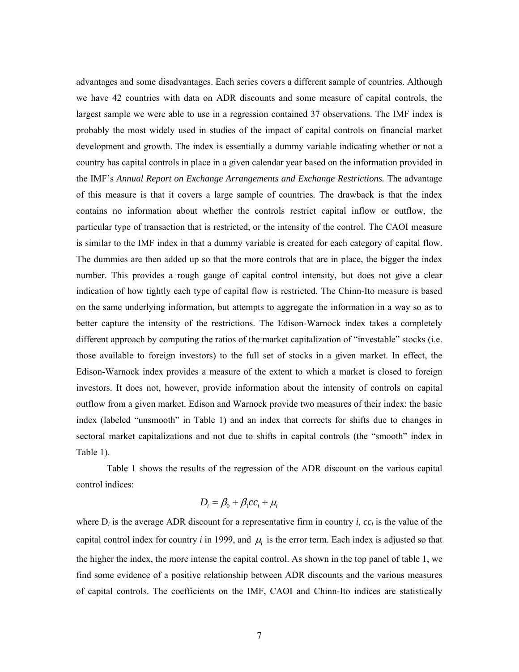advantages and some disadvantages. Each series covers a different sample of countries. Although we have 42 countries with data on ADR discounts and some measure of capital controls, the largest sample we were able to use in a regression contained 37 observations. The IMF index is probably the most widely used in studies of the impact of capital controls on financial market development and growth. The index is essentially a dummy variable indicating whether or not a country has capital controls in place in a given calendar year based on the information provided in the IMF's *Annual Report on Exchange Arrangements and Exchange Restrictions.* The advantage of this measure is that it covers a large sample of countries. The drawback is that the index contains no information about whether the controls restrict capital inflow or outflow, the particular type of transaction that is restricted, or the intensity of the control. The CAOI measure is similar to the IMF index in that a dummy variable is created for each category of capital flow. The dummies are then added up so that the more controls that are in place, the bigger the index number. This provides a rough gauge of capital control intensity, but does not give a clear indication of how tightly each type of capital flow is restricted. The Chinn-Ito measure is based on the same underlying information, but attempts to aggregate the information in a way so as to better capture the intensity of the restrictions. The Edison-Warnock index takes a completely different approach by computing the ratios of the market capitalization of "investable" stocks (i.e. those available to foreign investors) to the full set of stocks in a given market. In effect, the Edison-Warnock index provides a measure of the extent to which a market is closed to foreign investors. It does not, however, provide information about the intensity of controls on capital outflow from a given market. Edison and Warnock provide two measures of their index: the basic index (labeled "unsmooth" in Table 1) and an index that corrects for shifts due to changes in sectoral market capitalizations and not due to shifts in capital controls (the "smooth" index in Table 1).

Table 1 shows the results of the regression of the ADR discount on the various capital control indices:

$$
D_i = \beta_0 + \beta_1 cc_i + \mu_i
$$

where  $D_i$  is the average ADR discount for a representative firm in country *i, cc<sub>i</sub>* is the value of the capital control index for country  $i$  in 1999, and  $\mu_i$  is the error term. Each index is adjusted so that the higher the index, the more intense the capital control. As shown in the top panel of table 1, we find some evidence of a positive relationship between ADR discounts and the various measures of capital controls. The coefficients on the IMF, CAOI and Chinn-Ito indices are statistically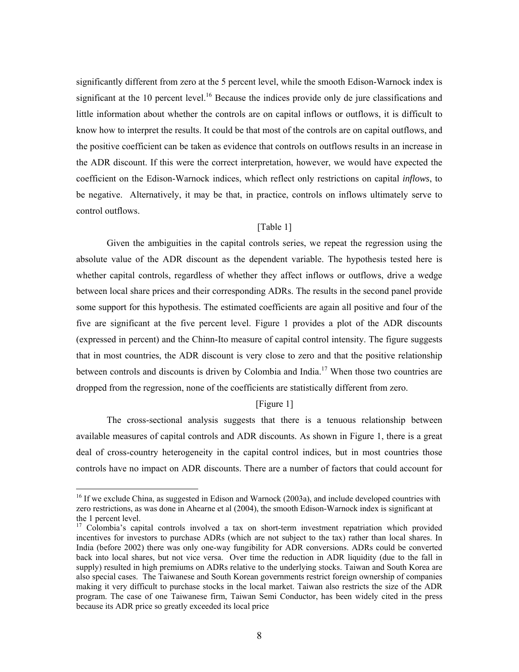significantly different from zero at the 5 percent level, while the smooth Edison-Warnock index is significant at the 10 percent level.<sup>16</sup> Because the indices provide only de jure classifications and little information about whether the controls are on capital inflows or outflows, it is difficult to know how to interpret the results. It could be that most of the controls are on capital outflows, and the positive coefficient can be taken as evidence that controls on outflows results in an increase in the ADR discount. If this were the correct interpretation, however, we would have expected the coefficient on the Edison-Warnock indices, which reflect only restrictions on capital *inflows*, to be negative. Alternatively, it may be that, in practice, controls on inflows ultimately serve to control outflows.

#### [Table 1]

Given the ambiguities in the capital controls series, we repeat the regression using the absolute value of the ADR discount as the dependent variable. The hypothesis tested here is whether capital controls, regardless of whether they affect inflows or outflows, drive a wedge between local share prices and their corresponding ADRs. The results in the second panel provide some support for this hypothesis. The estimated coefficients are again all positive and four of the five are significant at the five percent level. Figure 1 provides a plot of the ADR discounts (expressed in percent) and the Chinn-Ito measure of capital control intensity. The figure suggests that in most countries, the ADR discount is very close to zero and that the positive relationship between controls and discounts is driven by Colombia and India.<sup>17</sup> When those two countries are dropped from the regression, none of the coefficients are statistically different from zero.

#### [Figure 1]

The cross-sectional analysis suggests that there is a tenuous relationship between available measures of capital controls and ADR discounts. As shown in Figure 1, there is a great deal of cross-country heterogeneity in the capital control indices, but in most countries those controls have no impact on ADR discounts. There are a number of factors that could account for

 $\overline{a}$ 

<span id="page-9-0"></span><sup>&</sup>lt;sup>16</sup> If we exclude China, as suggested in Edison and Warnock (2003a), and include developed countries with zero restrictions, as was done in Ahearne et al (2004), the smooth Edison-Warnock index is significant at the 1 percent level.<br><sup>17</sup> Colombia's capital controls involved a tax on short-term investment repatriation which provided

<span id="page-9-1"></span>incentives for investors to purchase ADRs (which are not subject to the tax) rather than local shares. In India (before 2002) there was only one-way fungibility for ADR conversions. ADRs could be converted back into local shares, but not vice versa. Over time the reduction in ADR liquidity (due to the fall in supply) resulted in high premiums on ADRs relative to the underlying stocks. Taiwan and South Korea are also special cases. The Taiwanese and South Korean governments restrict foreign ownership of companies making it very difficult to purchase stocks in the local market. Taiwan also restricts the size of the ADR program. The case of one Taiwanese firm, Taiwan Semi Conductor, has been widely cited in the press because its ADR price so greatly exceeded its local price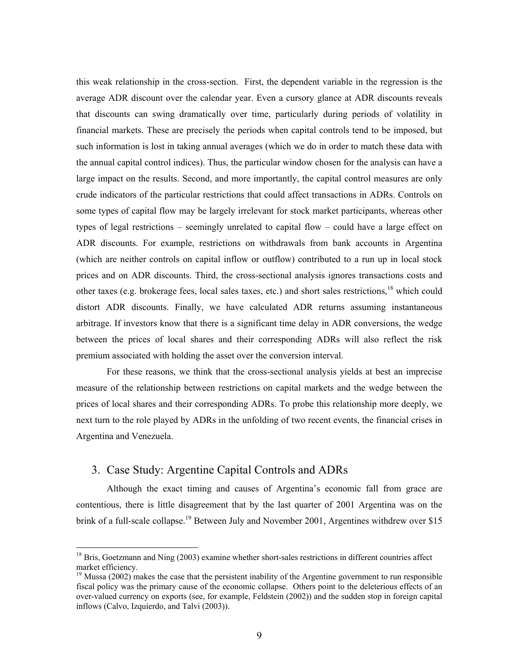this weak relationship in the cross-section. First, the dependent variable in the regression is the average ADR discount over the calendar year. Even a cursory glance at ADR discounts reveals that discounts can swing dramatically over time, particularly during periods of volatility in financial markets. These are precisely the periods when capital controls tend to be imposed, but such information is lost in taking annual averages (which we do in order to match these data with the annual capital control indices). Thus, the particular window chosen for the analysis can have a large impact on the results. Second, and more importantly, the capital control measures are only crude indicators of the particular restrictions that could affect transactions in ADRs. Controls on some types of capital flow may be largely irrelevant for stock market participants, whereas other types of legal restrictions – seemingly unrelated to capital flow – could have a large effect on ADR discounts. For example, restrictions on withdrawals from bank accounts in Argentina (which are neither controls on capital inflow or outflow) contributed to a run up in local stock prices and on ADR discounts. Third, the cross-sectional analysis ignores transactions costs and other taxes (e.g. brokerage fees, local sales taxes, etc.) and short sales restrictions,[18](#page-10-0) which could distort ADR discounts. Finally, we have calculated ADR returns assuming instantaneous arbitrage. If investors know that there is a significant time delay in ADR conversions, the wedge between the prices of local shares and their corresponding ADRs will also reflect the risk premium associated with holding the asset over the conversion interval.

For these reasons, we think that the cross-sectional analysis yields at best an imprecise measure of the relationship between restrictions on capital markets and the wedge between the prices of local shares and their corresponding ADRs. To probe this relationship more deeply, we next turn to the role played by ADRs in the unfolding of two recent events, the financial crises in Argentina and Venezuela.

### 3. Case Study: Argentine Capital Controls and ADRs

 $\overline{a}$ 

Although the exact timing and causes of Argentina's economic fall from grace are contentious, there is little disagreement that by the last quarter of 2001 Argentina was on the brink of a full-scale collapse.<sup>19</sup> Between July and November 2001, Argentines withdrew over \$15

<span id="page-10-0"></span><sup>&</sup>lt;sup>18</sup> Bris, Goetzmann and Ning (2003) examine whether short-sales restrictions in different countries affect market efficiency.

<span id="page-10-1"></span><sup>&</sup>lt;sup>19</sup> Mussa (2002) makes the case that the persistent inability of the Argentine government to run responsible fiscal policy was the primary cause of the economic collapse. Others point to the deleterious effects of an over-valued currency on exports (see, for example, Feldstein (2002)) and the sudden stop in foreign capital inflows (Calvo, Izquierdo, and Talvi (2003)).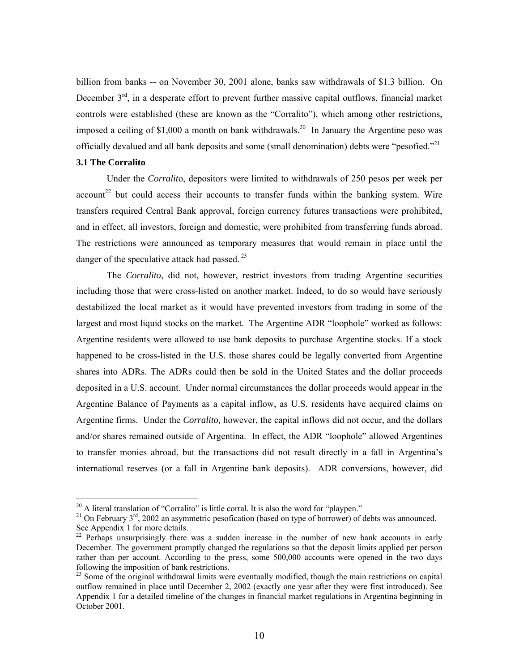billion from banks -- on November 30, 2001 alone, banks saw withdrawals of \$1.3 billion. On December  $3<sup>rd</sup>$ , in a desperate effort to prevent further massive capital outflows, financial market controls were established (these are known as the "Corralito"), which among other restrictions, imposed a ceiling of  $$1,000$  a month on bank withdrawals.<sup>20</sup> In January the Argentine peso was officially devalued and all bank deposits and some (small denomination) debts were "pesofied."<sup>21</sup>

#### **3.1 The Corralito**

 $\overline{a}$ 

Under the *Corralit*o, depositors were limited to withdrawals of 250 pesos per week per  $account<sup>22</sup>$  but could access their accounts to transfer funds within the banking system. Wire transfers required Central Bank approval, foreign currency futures transactions were prohibited, and in effect, all investors, foreign and domestic, were prohibited from transferring funds abroad. The restrictions were announced as temporary measures that would remain in place until the danger of the speculative attack had passed.  $23$ 

The *Corralito*, did not, however, restrict investors from trading Argentine securities including those that were cross-listed on another market. Indeed, to do so would have seriously destabilized the local market as it would have prevented investors from trading in some of the largest and most liquid stocks on the market. The Argentine ADR "loophole" worked as follows: Argentine residents were allowed to use bank deposits to purchase Argentine stocks. If a stock happened to be cross-listed in the U.S. those shares could be legally converted from Argentine shares into ADRs. The ADRs could then be sold in the United States and the dollar proceeds deposited in a U.S. account. Under normal circumstances the dollar proceeds would appear in the Argentine Balance of Payments as a capital inflow, as U.S. residents have acquired claims on Argentine firms. Under the *Corralito,* however, the capital inflows did not occur, and the dollars and/or shares remained outside of Argentina. In effect, the ADR "loophole" allowed Argentines to transfer monies abroad, but the transactions did not result directly in a fall in Argentina's international reserves (or a fall in Argentine bank deposits). ADR conversions, however, did

<span id="page-11-1"></span><span id="page-11-0"></span>

<sup>&</sup>lt;sup>20</sup> A literal translation of "Corralito" is little corral. It is also the word for "playpen."<br><sup>21</sup> On February 3<sup>rd</sup>, 2002 an asymmetric pesofication (based on type of borrower) of debts was announced.<br>See Appendix 1 for

<span id="page-11-2"></span> $22$  Perhaps unsurprisingly there was a sudden increase in the number of new bank accounts in early December. The government promptly changed the regulations so that the deposit limits applied per person rather than per account. According to the press, some 500,000 accounts were opened in the two days following the imposition of bank restrictions.<br><sup>23</sup> Some of the original withdrawal limits were eventually modified, though the main restrictions on capital

<span id="page-11-3"></span>outflow remained in place until December 2, 2002 (exactly one year after they were first introduced). See Appendix 1 for a detailed timeline of the changes in financial market regulations in Argentina beginning in October 2001.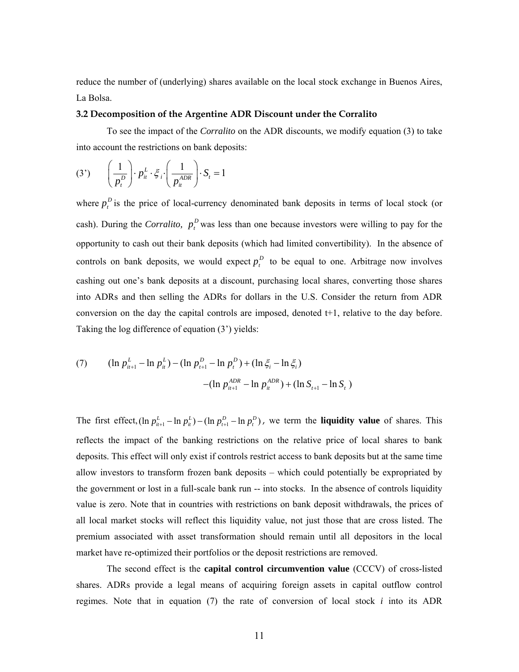reduce the number of (underlying) shares available on the local stock exchange in Buenos Aires, La Bolsa.

#### **3.2 Decomposition of the Argentine ADR Discount under the Corralito**

To see the impact of the *Corralito* on the ADR discounts, we modify equation (3) to take into account the restrictions on bank deposits:

$$
(3') \qquad \left(\frac{1}{p_t^D}\right) \cdot p_{it}^L \cdot \xi_i \cdot \left(\frac{1}{p_{it}^{ADR}}\right) \cdot S_t = 1
$$

where  $p_t^p$  is the price of local-currency denominated bank deposits in terms of local stock (or cash). During the *Corralito*,  $p_t^D$  was less than one because investors were willing to pay for the opportunity to cash out their bank deposits (which had limited convertibility). In the absence of controls on bank deposits, we would expect  $p_t^D$  to be equal to one. Arbitrage now involves cashing out one's bank deposits at a discount, purchasing local shares, converting those shares into ADRs and then selling the ADRs for dollars in the U.S. Consider the return from ADR conversion on the day the capital controls are imposed, denoted t+1, relative to the day before. Taking the log difference of equation (3') yields:

(7) 
$$
(\ln p_{i+1}^L - \ln p_{i}^L) - (\ln p_{i+1}^D - \ln p_i^D) + (\ln \xi_i - \ln \xi_i) - (\ln p_{i+1}^{ADR} - \ln p_{i}^{ADR}) + (\ln S_{i+1} - \ln S_i)
$$

The first effect,  $(\ln p_{i+1}^L - \ln p_i^L) - (\ln p_{i+1}^D - \ln p_i^D)$ , we term the **liquidity value** of shares. This reflects the impact of the banking restrictions on the relative price of local shares to bank deposits. This effect will only exist if controls restrict access to bank deposits but at the same time allow investors to transform frozen bank deposits – which could potentially be expropriated by the government or lost in a full-scale bank run -- into stocks. In the absence of controls liquidity value is zero. Note that in countries with restrictions on bank deposit withdrawals, the prices of all local market stocks will reflect this liquidity value, not just those that are cross listed. The premium associated with asset transformation should remain until all depositors in the local market have re-optimized their portfolios or the deposit restrictions are removed.

The second effect is the **capital control circumvention value** (CCCV) of cross-listed shares. ADRs provide a legal means of acquiring foreign assets in capital outflow control regimes. Note that in equation (7) the rate of conversion of local stock *i* into its ADR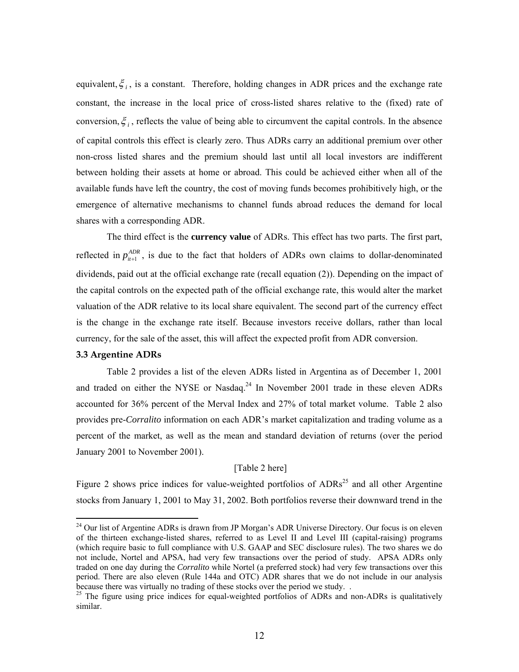equivalent,  $\xi_i$ , is a constant. Therefore, holding changes in ADR prices and the exchange rate constant, the increase in the local price of cross-listed shares relative to the (fixed) rate of conversion,  $\xi_i$ , reflects the value of being able to circumvent the capital controls. In the absence of capital controls this effect is clearly zero. Thus ADRs carry an additional premium over other non-cross listed shares and the premium should last until all local investors are indifferent between holding their assets at home or abroad. This could be achieved either when all of the available funds have left the country, the cost of moving funds becomes prohibitively high, or the emergence of alternative mechanisms to channel funds abroad reduces the demand for local shares with a corresponding ADR.

The third effect is the **currency value** of ADRs. This effect has two parts. The first part, reflected in  $p_{i+1}^{ADR}$ , is due to the fact that holders of ADRs own claims to dollar-denominated dividends, paid out at the official exchange rate (recall equation (2)). Depending on the impact of the capital controls on the expected path of the official exchange rate, this would alter the market valuation of the ADR relative to its local share equivalent. The second part of the currency effect is the change in the exchange rate itself. Because investors receive dollars, rather than local currency, for the sale of the asset, this will affect the expected profit from ADR conversion.

#### **3.3 Argentine ADRs**

 $\overline{a}$ 

Table 2 provides a list of the eleven ADRs listed in Argentina as of December 1, 2001 and traded on either the NYSE or Nasdaq.<sup>24</sup> In November 2001 trade in these eleven ADRs accounted for 36% percent of the Merval Index and 27% of total market volume. Table 2 also provides pre-*Corralito* information on each ADR's market capitalization and trading volume as a percent of the market, as well as the mean and standard deviation of returns (over the period January 2001 to November 2001).

#### [Table 2 here]

Figure 2 shows price indices for value-weighted portfolios of  $\text{ADRs}^{25}$  and all other Argentine stocks from January 1, 2001 to May 31, 2002. Both portfolios reverse their downward trend in the

<span id="page-13-0"></span><sup>&</sup>lt;sup>24</sup> Our list of Argentine ADRs is drawn from JP Morgan's ADR Universe Directory. Our focus is on eleven of the thirteen exchange-listed shares, referred to as Level II and Level III (capital-raising) programs (which require basic to full compliance with U.S. GAAP and SEC disclosure rules). The two shares we do not include, Nortel and APSA, had very few transactions over the period of study. APSA ADRs only traded on one day during the *Corralito* while Nortel (a preferred stock) had very few transactions over this period. There are also eleven (Rule 144a and OTC) ADR shares that we do not include in our analysis because there was virtually no trading of these stocks over the period we study.

<span id="page-13-1"></span> $25$  The figure using price indices for equal-weighted portfolios of ADRs and non-ADRs is qualitatively similar.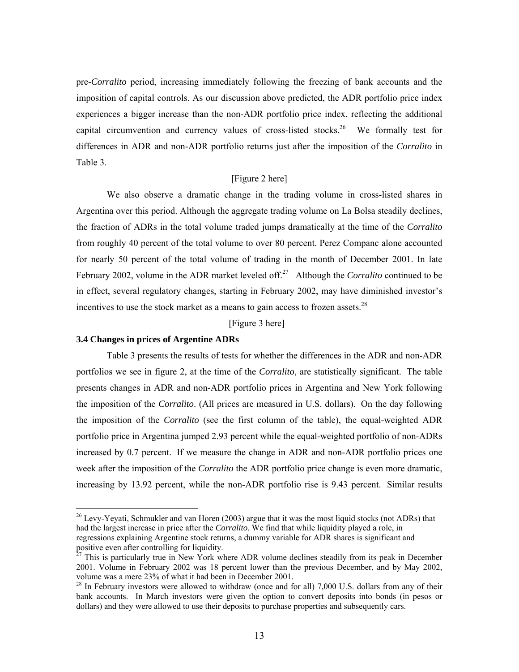pre-*Corralito* period, increasing immediately following the freezing of bank accounts and the imposition of capital controls. As our discussion above predicted, the ADR portfolio price index experiences a bigger increase than the non-ADR portfolio price index, reflecting the additional capital circumvention and currency values of cross-listed stocks.<sup>26</sup> We formally test for differences in ADR and non-ADR portfolio returns just after the imposition of the *Corralito* in Table 3.

#### [Figure 2 here]

We also observe a dramatic change in the trading volume in cross-listed shares in Argentina over this period. Although the aggregate trading volume on La Bolsa steadily declines, the fraction of ADRs in the total volume traded jumps dramatically at the time of the *Corralito* from roughly 40 percent of the total volume to over 80 percent. Perez Companc alone accounted for nearly 50 percent of the total volume of trading in the month of December 2001. In late February 2002, volume in the ADR market leveled off.<sup>27</sup> Although the *Corralito* continued to be in effect, several regulatory changes, starting in February 2002, may have diminished investor's incentives to use the stock market as a means to gain access to frozen assets.<sup>28</sup>

[Figure 3 here]

#### **3.4 Changes in prices of Argentine ADRs**

 $\overline{a}$ 

Table 3 presents the results of tests for whether the differences in the ADR and non-ADR portfolios we see in figure 2, at the time of the *Corralito*, are statistically significant. The table presents changes in ADR and non-ADR portfolio prices in Argentina and New York following the imposition of the *Corralito*. (All prices are measured in U.S. dollars). On the day following the imposition of the *Corralito* (see the first column of the table), the equal-weighted ADR portfolio price in Argentina jumped 2.93 percent while the equal-weighted portfolio of non-ADRs increased by 0.7 percent. If we measure the change in ADR and non-ADR portfolio prices one week after the imposition of the *Corralito* the ADR portfolio price change is even more dramatic, increasing by 13.92 percent, while the non-ADR portfolio rise is 9.43 percent. Similar results

<span id="page-14-0"></span> $26$  Levy-Yeyati, Schmukler and van Horen (2003) argue that it was the most liquid stocks (not ADRs) that had the largest increase in price after the *Corralito*. We find that while liquidity played a role, in regressions explaining Argentine stock returns, a dummy variable for ADR shares is significant and positive even after controlling for liquidity.<br><sup>27</sup> This is particularly true in New York where ADR volume declines steadily from its peak in December

<span id="page-14-1"></span><sup>2001.</sup> Volume in February 2002 was 18 percent lower than the previous December, and by May 2002,

<span id="page-14-2"></span> $28$  In February investors were allowed to withdraw (once and for all) 7,000 U.S. dollars from any of their bank accounts. In March investors were given the option to convert deposits into bonds (in pesos or dollars) and they were allowed to use their deposits to purchase properties and subsequently cars.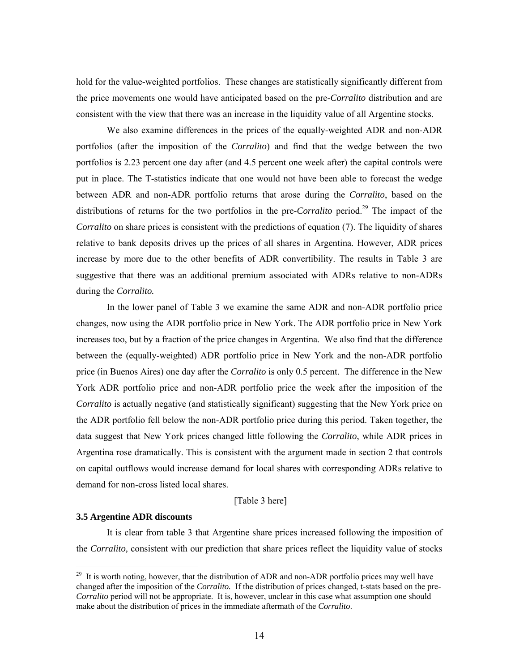hold for the value-weighted portfolios. These changes are statistically significantly different from the price movements one would have anticipated based on the pre-*Corralito* distribution and are consistent with the view that there was an increase in the liquidity value of all Argentine stocks.

We also examine differences in the prices of the equally-weighted ADR and non-ADR portfolios (after the imposition of the *Corralito*) and find that the wedge between the two portfolios is 2.23 percent one day after (and 4.5 percent one week after) the capital controls were put in place. The T-statistics indicate that one would not have been able to forecast the wedge between ADR and non-ADR portfolio returns that arose during the *Corralito*, based on the distributions of returns for the two portfolios in the pre-*Corralito* period.<sup>29</sup> The impact of the *Corralito* on share prices is consistent with the predictions of equation (7). The liquidity of shares relative to bank deposits drives up the prices of all shares in Argentina. However, ADR prices increase by more due to the other benefits of ADR convertibility. The results in Table 3 are suggestive that there was an additional premium associated with ADRs relative to non-ADRs during the *Corralito.* 

In the lower panel of Table 3 we examine the same ADR and non-ADR portfolio price changes, now using the ADR portfolio price in New York. The ADR portfolio price in New York increases too, but by a fraction of the price changes in Argentina. We also find that the difference between the (equally-weighted) ADR portfolio price in New York and the non-ADR portfolio price (in Buenos Aires) one day after the *Corralito* is only 0.5 percent. The difference in the New York ADR portfolio price and non-ADR portfolio price the week after the imposition of the *Corralito* is actually negative (and statistically significant) suggesting that the New York price on the ADR portfolio fell below the non-ADR portfolio price during this period. Taken together, the data suggest that New York prices changed little following the *Corralito*, while ADR prices in Argentina rose dramatically. This is consistent with the argument made in section 2 that controls on capital outflows would increase demand for local shares with corresponding ADRs relative to demand for non-cross listed local shares.

#### [Table 3 here]

#### **3.5 Argentine ADR discounts**

 $\overline{a}$ 

It is clear from table 3 that Argentine share prices increased following the imposition of the *Corralito,* consistent with our prediction that share prices reflect the liquidity value of stocks

<span id="page-15-0"></span> $29$  It is worth noting, however, that the distribution of ADR and non-ADR portfolio prices may well have changed after the imposition of the *Corralito.* If the distribution of prices changed, t-stats based on the pre-*Corralito* period will not be appropriate. It is, however, unclear in this case what assumption one should make about the distribution of prices in the immediate aftermath of the *Corralito*.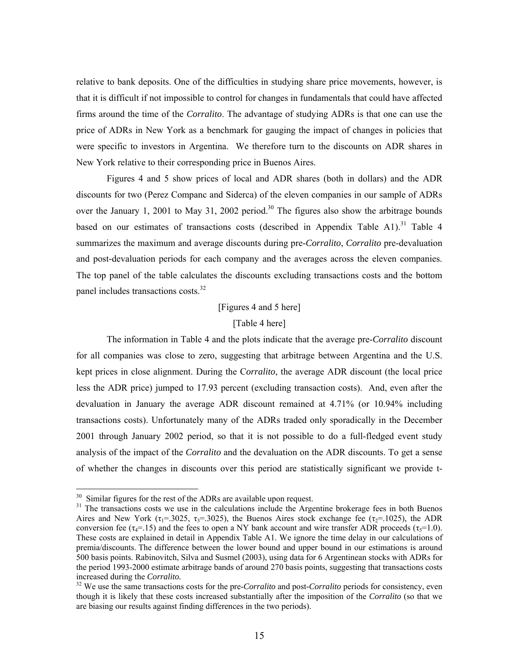relative to bank deposits. One of the difficulties in studying share price movements, however, is that it is difficult if not impossible to control for changes in fundamentals that could have affected firms around the time of the *Corralito*. The advantage of studying ADRs is that one can use the price of ADRs in New York as a benchmark for gauging the impact of changes in policies that were specific to investors in Argentina. We therefore turn to the discounts on ADR shares in New York relative to their corresponding price in Buenos Aires.

Figures 4 and 5 show prices of local and ADR shares (both in dollars) and the ADR discounts for two (Perez Companc and Siderca) of the eleven companies in our sample of ADRs over the January 1, 2001 to May 31, 2002 period.<sup>30</sup> The figures also show the arbitrage bounds based on our estimates of transactions costs (described in Appendix Table A1).<sup>31</sup> Table 4 summarizes the maximum and average discounts during pre-*Corralito*, *Corralito* pre-devaluation and post-devaluation periods for each company and the averages across the eleven companies. The top panel of the table calculates the discounts excluding transactions costs and the bottom panel includes transactions costs.<sup>[32](#page-16-2)</sup>

#### [Figures 4 and 5 here]

#### [Table 4 here]

The information in Table 4 and the plots indicate that the average pre-*Corralito* discount for all companies was close to zero, suggesting that arbitrage between Argentina and the U.S. kept prices in close alignment. During the C*orralito*, the average ADR discount (the local price less the ADR price) jumped to 17.93 percent (excluding transaction costs). And, even after the devaluation in January the average ADR discount remained at 4.71% (or 10.94% including transactions costs). Unfortunately many of the ADRs traded only sporadically in the December 2001 through January 2002 period, so that it is not possible to do a full-fledged event study analysis of the impact of the *Corralito* and the devaluation on the ADR discounts. To get a sense of whether the changes in discounts over this period are statistically significant we provide t-

 $\overline{a}$ 

<span id="page-16-1"></span><span id="page-16-0"></span>

 $30\text{ }$  Similar figures for the rest of the ADRs are available upon request.<br><sup>31</sup> The transactions costs we use in the calculations include the Argentine brokerage fees in both Buenos Aires and New York ( $\tau_1$ =.3025,  $\tau_3$ =.3025), the Buenos Aires stock exchange fee ( $\tau_2$ =.1025), the ADR conversion fee ( $\tau_4$ =.15) and the fees to open a NY bank account and wire transfer ADR proceeds ( $\tau_5$ =1.0). These costs are explained in detail in Appendix Table A1. We ignore the time delay in our calculations of premia/discounts. The difference between the lower bound and upper bound in our estimations is around 500 basis points. Rabinovitch, Silva and Susmel (2003), using data for 6 Argentinean stocks with ADRs for the period 1993-2000 estimate arbitrage bands of around 270 basis points, suggesting that transactions costs increased during the *Corralito.* <sup>32</sup> We use the same transactions costs for the pre-*Corralito* and post*-Corralito* periods for consistency, even

<span id="page-16-2"></span>though it is likely that these costs increased substantially after the imposition of the *Corralito* (so that we are biasing our results against finding differences in the two periods).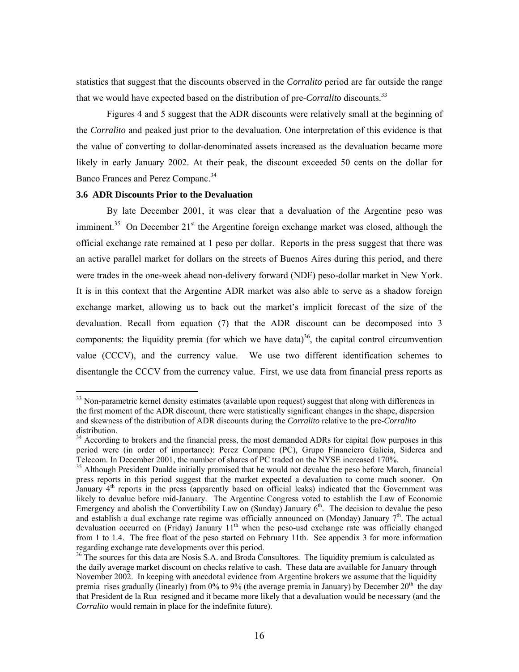statistics that suggest that the discounts observed in the *Corralito* period are far outside the range that we would have expected based on the distribution of pre-*Corralito* discounts.[33](#page-17-0) 

Figures 4 and 5 suggest that the ADR discounts were relatively small at the beginning of the *Corralito* and peaked just prior to the devaluation. One interpretation of this evidence is that the value of converting to dollar-denominated assets increased as the devaluation became more likely in early January 2002. At their peak, the discount exceeded 50 cents on the dollar for Banco Frances and Perez Companc.<sup>34</sup>

#### **3.6 ADR Discounts Prior to the Devaluation**

 $\overline{a}$ 

By late December 2001, it was clear that a devaluation of the Argentine peso was imminent.<sup>35</sup> On December 21<sup>st</sup> the Argentine foreign exchange market was closed, although the official exchange rate remained at 1 peso per dollar. Reports in the press suggest that there was an active parallel market for dollars on the streets of Buenos Aires during this period, and there were trades in the one-week ahead non-delivery forward (NDF) peso-dollar market in New York. It is in this context that the Argentine ADR market was also able to serve as a shadow foreign exchange market, allowing us to back out the market's implicit forecast of the size of the devaluation. Recall from equation (7) that the ADR discount can be decomposed into 3 components: the liquidity premia (for which we have data)<sup>36</sup>, the capital control circumvention value (CCCV), and the currency value. We use two different identification schemes to disentangle the CCCV from the currency value. First, we use data from financial press reports as

<span id="page-17-0"></span><sup>&</sup>lt;sup>33</sup> Non-parametric kernel density estimates (available upon request) suggest that along with differences in the first moment of the ADR discount, there were statistically significant changes in the shape, dispersion and skewness of the distribution of ADR discounts during the *Corralito* relative to the pre-*Corralito*

<span id="page-17-1"></span> $34$  According to brokers and the financial press, the most demanded ADRs for capital flow purposes in this period were (in order of importance): Perez Companc (PC), Grupo Financiero Galicia, Siderca and Telecom. In December 2001, the number of shares of PC traded on the NYSE increased 170%. 35 Although President Dualde initially promised that he would not devalue the peso before March, financial

<span id="page-17-2"></span>press reports in this period suggest that the market expected a devaluation to come much sooner. On January  $4<sup>th</sup>$  reports in the press (apparently based on official leaks) indicated that the Government was likely to devalue before mid-January. The Argentine Congress voted to establish the Law of Economic Emergency and abolish the Convertibility Law on (Sunday) January  $6<sup>th</sup>$ . The decision to devalue the peso and establish a dual exchange rate regime was officially announced on (Monday) January  $7<sup>th</sup>$ . The actual devaluation occurred on (Friday) January 11<sup>th</sup> when the peso-usd exchange rate was officially changed from 1 to 1.4. The free float of the peso started on February 11th. See appendix 3 for more information regarding exchange rate developments over this period.<br><sup>36</sup> The sources for this data are Nosis S.A. and Broda Consultores. The liquidity premium is calculated as

<span id="page-17-3"></span>the daily average market discount on checks relative to cash. These data are available for January through November 2002. In keeping with anecdotal evidence from Argentine brokers we assume that the liquidity premia rises gradually (linearly) from 0% to 9% (the average premia in January) by December  $20<sup>th</sup>$  the day that President de la Rua resigned and it became more likely that a devaluation would be necessary (and the *Corralito* would remain in place for the indefinite future).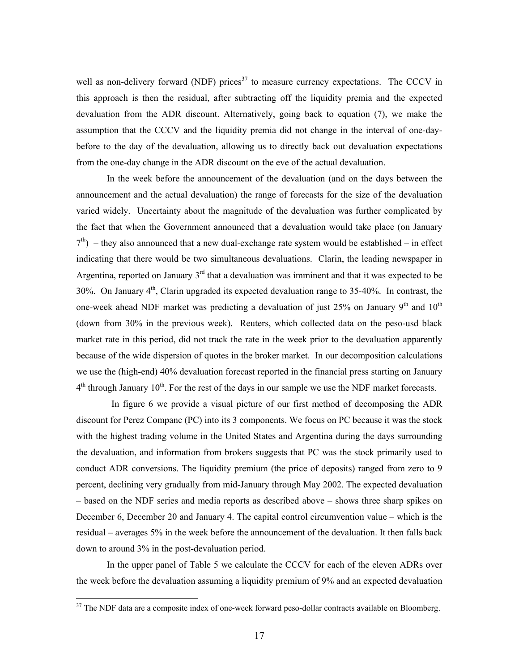well as non-delivery forward (NDF) prices<sup>37</sup> to measure currency expectations. The CCCV in this approach is then the residual, after subtracting off the liquidity premia and the expected devaluation from the ADR discount. Alternatively, going back to equation (7), we make the assumption that the CCCV and the liquidity premia did not change in the interval of one-daybefore to the day of the devaluation, allowing us to directly back out devaluation expectations from the one-day change in the ADR discount on the eve of the actual devaluation.

In the week before the announcement of the devaluation (and on the days between the announcement and the actual devaluation) the range of forecasts for the size of the devaluation varied widely. Uncertainty about the magnitude of the devaluation was further complicated by the fact that when the Government announced that a devaluation would take place (on January  $7<sup>th</sup>$ ) – they also announced that a new dual-exchange rate system would be established – in effect indicating that there would be two simultaneous devaluations. Clarin, the leading newspaper in Argentina, reported on January  $3<sup>rd</sup>$  that a devaluation was imminent and that it was expected to be 30%. On January  $4<sup>th</sup>$ , Clarin upgraded its expected devaluation range to 35-40%. In contrast, the one-week ahead NDF market was predicting a devaluation of just 25% on January  $9<sup>th</sup>$  and  $10<sup>th</sup>$ (down from 30% in the previous week). Reuters, which collected data on the peso-usd black market rate in this period, did not track the rate in the week prior to the devaluation apparently because of the wide dispersion of quotes in the broker market. In our decomposition calculations we use the (high-end) 40% devaluation forecast reported in the financial press starting on January  $4<sup>th</sup>$  through January 10<sup>th</sup>. For the rest of the days in our sample we use the NDF market forecasts.

In figure 6 we provide a visual picture of our first method of decomposing the ADR discount for Perez Companc (PC) into its 3 components. We focus on PC because it was the stock with the highest trading volume in the United States and Argentina during the days surrounding the devaluation, and information from brokers suggests that PC was the stock primarily used to conduct ADR conversions. The liquidity premium (the price of deposits) ranged from zero to 9 percent, declining very gradually from mid-January through May 2002. The expected devaluation – based on the NDF series and media reports as described above – shows three sharp spikes on December 6, December 20 and January 4. The capital control circumvention value – which is the residual – averages 5% in the week before the announcement of the devaluation. It then falls back down to around 3% in the post-devaluation period.

In the upper panel of Table 5 we calculate the CCCV for each of the eleven ADRs over the week before the devaluation assuming a liquidity premium of 9% and an expected devaluation

 $\overline{a}$ 

<span id="page-18-0"></span> $37$  The NDF data are a composite index of one-week forward peso-dollar contracts available on Bloomberg.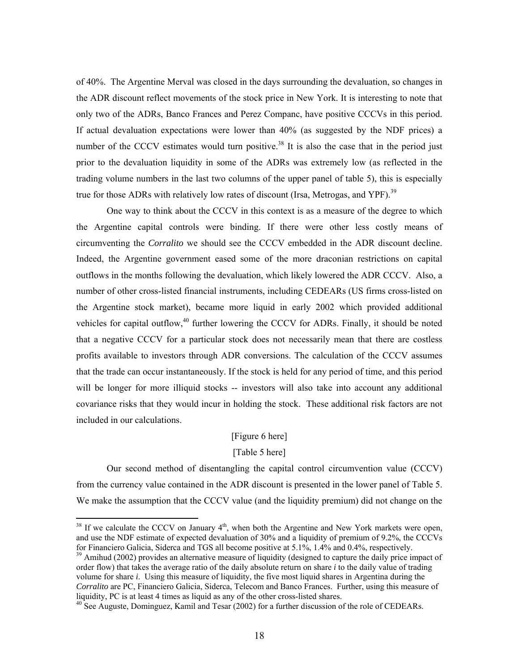of 40%. The Argentine Merval was closed in the days surrounding the devaluation, so changes in the ADR discount reflect movements of the stock price in New York. It is interesting to note that only two of the ADRs, Banco Frances and Perez Companc, have positive CCCVs in this period. If actual devaluation expectations were lower than 40% (as suggested by the NDF prices) a number of the CCCV estimates would turn positive.<sup>38</sup> It is also the case that in the period just prior to the devaluation liquidity in some of the ADRs was extremely low (as reflected in the trading volume numbers in the last two columns of the upper panel of table 5), this is especially true for those ADRs with relatively low rates of discount (Irsa, Metrogas, and YPF).<sup>[39](#page-19-1)</sup>

One way to think about the CCCV in this context is as a measure of the degree to which the Argentine capital controls were binding. If there were other less costly means of circumventing the *Corralito* we should see the CCCV embedded in the ADR discount decline. Indeed, the Argentine government eased some of the more draconian restrictions on capital outflows in the months following the devaluation, which likely lowered the ADR CCCV. Also, a number of other cross-listed financial instruments, including CEDEARs (US firms cross-listed on the Argentine stock market), became more liquid in early 2002 which provided additional vehicles for capital outflow,<sup>40</sup> further lowering the CCCV for ADRs. Finally, it should be noted that a negative CCCV for a particular stock does not necessarily mean that there are costless profits available to investors through ADR conversions. The calculation of the CCCV assumes that the trade can occur instantaneously. If the stock is held for any period of time, and this period will be longer for more illiquid stocks -- investors will also take into account any additional covariance risks that they would incur in holding the stock. These additional risk factors are not included in our calculations.

### [Figure 6 here]

#### [Table 5 here]

Our second method of disentangling the capital control circumvention value (CCCV) from the currency value contained in the ADR discount is presented in the lower panel of Table 5. We make the assumption that the CCCV value (and the liquidity premium) did not change on the

 $\overline{a}$ 

<span id="page-19-0"></span> $38$  If we calculate the CCCV on January  $4<sup>th</sup>$ , when both the Argentine and New York markets were open, and use the NDF estimate of expected devaluation of 30% and a liquidity of premium of 9.2%, the CCCVs for Financiero Galicia, Siderca and TGS all become positive at 5.1%, 1.4% and 0.4%, respectively.

<span id="page-19-1"></span> $\frac{39}{2}$  Amihud (2002) provides an alternative measure of liquidity (designed to capture the daily price impact of order flow) that takes the average ratio of the daily absolute return on share *i* to the daily value of trading volume for share *i*. Using this measure of liquidity, the five most liquid shares in Argentina during the *Corralito* are PC, Financiero Galicia, Siderca, Telecom and Banco Frances. Further, using this measure of liquidity, PC is at least 4 times as liquid as any of the other cross-listed shares.<br><sup>40</sup> See Auguste, Dominguez, Kamil and Tesar (2002) for a further discussion of the role of CEDEARs.

<span id="page-19-2"></span>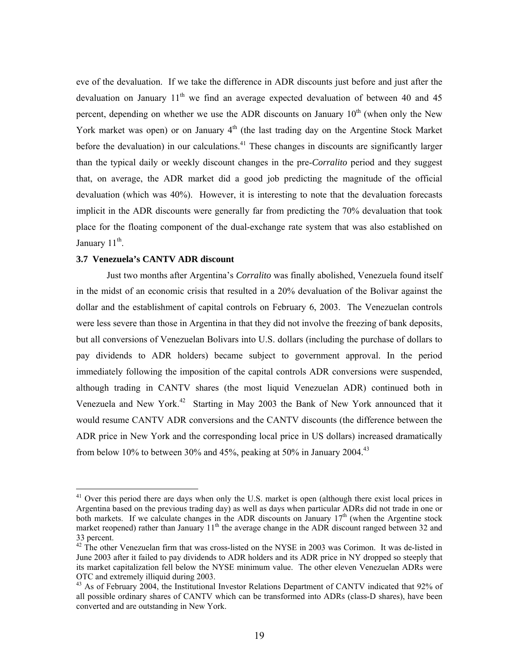eve of the devaluation. If we take the difference in ADR discounts just before and just after the devaluation on January  $11<sup>th</sup>$  we find an average expected devaluation of between 40 and 45 percent, depending on whether we use the ADR discounts on January  $10<sup>th</sup>$  (when only the New York market was open) or on January 4<sup>th</sup> (the last trading day on the Argentine Stock Market before the devaluation) in our calculations.<sup>41</sup> These changes in discounts are significantly larger than the typical daily or weekly discount changes in the pre-*Corralito* period and they suggest that, on average, the ADR market did a good job predicting the magnitude of the official devaluation (which was 40%). However, it is interesting to note that the devaluation forecasts implicit in the ADR discounts were generally far from predicting the 70% devaluation that took place for the floating component of the dual-exchange rate system that was also established on January  $11^{th}$ .

#### **3.7 Venezuela's CANTV ADR discount**

 $\overline{a}$ 

Just two months after Argentina's *Corralito* was finally abolished, Venezuela found itself in the midst of an economic crisis that resulted in a 20% devaluation of the Bolivar against the dollar and the establishment of capital controls on February 6, 2003. The Venezuelan controls were less severe than those in Argentina in that they did not involve the freezing of bank deposits, but all conversions of Venezuelan Bolivars into U.S. dollars (including the purchase of dollars to pay dividends to ADR holders) became subject to government approval. In the period immediately following the imposition of the capital controls ADR conversions were suspended, although trading in CANTV shares (the most liquid Venezuelan ADR) continued both in Venezuela and New York.<sup>42</sup> Starting in May 2003 the Bank of New York announced that it would resume CANTV ADR conversions and the CANTV discounts (the difference between the ADR price in New York and the corresponding local price in US dollars) increased dramatically from below 10% to between 30% and 45%, peaking at 50% in January 2004.<sup>43</sup>

<span id="page-20-0"></span><sup>&</sup>lt;sup>41</sup> Over this period there are days when only the U.S. market is open (although there exist local prices in Argentina based on the previous trading day) as well as days when particular ADRs did not trade in one or both markets. If we calculate changes in the ADR discounts on January  $17<sup>th</sup>$  (when the Argentine stock market reopened) rather than January 11<sup>th</sup> the average change in the ADR discount ranged between 32 and 33 percent.<br> $42$  The other Venezuelan firm that was cross-listed on the NYSE in 2003 was Corimon. It was de-listed in

<span id="page-20-1"></span>June 2003 after it failed to pay dividends to ADR holders and its ADR price in NY dropped so steeply that its market capitalization fell below the NYSE minimum value. The other eleven Venezuelan ADRs were OTC and extremely illiquid during 2003.<br><sup>43</sup> As of February 2004, the Institutional Investor Relations Department of CANTV indicated that 92% of

<span id="page-20-2"></span>all possible ordinary shares of CANTV which can be transformed into ADRs (class-D shares), have been converted and are outstanding in New York.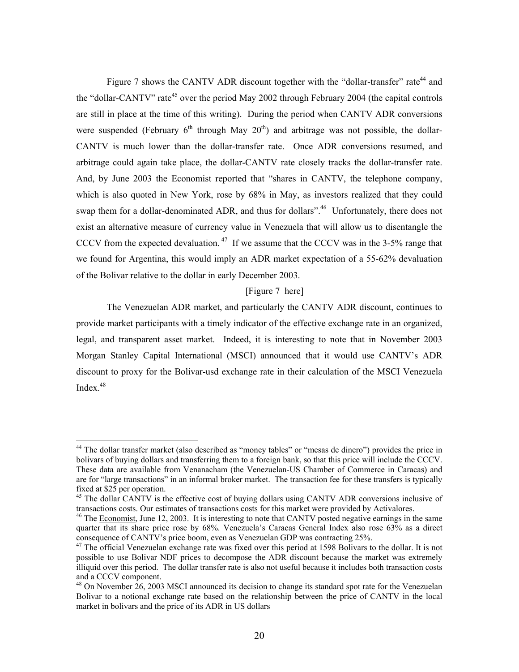Figure 7 shows the CANTV ADR discount together with the "dollar-transfer" rate<sup>44</sup> and the "dollar-CANTV" rate<sup>[45](#page-21-1)</sup> over the period May 2002 through February 2004 (the capital controls are still in place at the time of this writing). During the period when CANTV ADR conversions were suspended (February  $6<sup>th</sup>$  through May  $20<sup>th</sup>$ ) and arbitrage was not possible, the dollar-CANTV is much lower than the dollar-transfer rate. Once ADR conversions resumed, and arbitrage could again take place, the dollar-CANTV rate closely tracks the dollar-transfer rate. And, by June 2003 the Economist reported that "shares in CANTV, the telephone company, which is also quoted in New York, rose by 68% in May, as investors realized that they could swap them for a dollar-denominated ADR, and thus for dollars".<sup>46</sup> Unfortunately, there does not exist an alternative measure of currency value in Venezuela that will allow us to disentangle the CCCV from the expected devaluation.<sup>47</sup> If we assume that the CCCV was in the 3-5% range that we found for Argentina, this would imply an ADR market expectation of a 55-62% devaluation of the Bolivar relative to the dollar in early December 2003.

#### [Figure 7 here]

The Venezuelan ADR market, and particularly the CANTV ADR discount, continues to provide market participants with a timely indicator of the effective exchange rate in an organized, legal, and transparent asset market. Indeed, it is interesting to note that in November 2003 Morgan Stanley Capital International (MSCI) announced that it would use CANTV's ADR discount to proxy for the Bolivar-usd exchange rate in their calculation of the MSCI Venezuela Index $1^{48}$ 

 $\overline{a}$ 

<span id="page-21-0"></span><sup>&</sup>lt;sup>44</sup> The dollar transfer market (also described as "money tables" or "mesas de dinero") provides the price in bolivars of buying dollars and transferring them to a foreign bank, so that this price will include the CCCV. These data are available from Venanacham (the Venezuelan-US Chamber of Commerce in Caracas) and are for "large transactions" in an informal broker market. The transaction fee for these transfers is typically

<span id="page-21-1"></span>fixed at \$25 per operation.<br><sup>45</sup> The dollar CANTV is the effective cost of buying dollars using CANTV ADR conversions inclusive of<br>transactions costs. Our estimates of transactions costs for this market were provided by Ac

<span id="page-21-2"></span><sup>&</sup>lt;sup>46</sup> The Economist, June 12, 2003. It is interesting to note that CANTV posted negative earnings in the same quarter that its share price rose by 68%. Venezuela's Caracas General Index also rose 63% as a direct consequence of CANTV's price boom, even as Venezuelan GDP was contracting 25%.

<span id="page-21-3"></span><sup>&</sup>lt;sup>47</sup> The official Venezuelan exchange rate was fixed over this period at 1598 Bolivars to the dollar. It is not possible to use Bolivar NDF prices to decompose the ADR discount because the market was extremely illiquid over this period. The dollar transfer rate is also not useful because it includes both transaction costs and a CCCV component.<br><sup>48</sup> On November 26, 2003 MSCI announced its decision to change its standard spot rate for the Venezuelan

<span id="page-21-4"></span>Bolivar to a notional exchange rate based on the relationship between the price of CANTV in the local market in bolivars and the price of its ADR in US dollars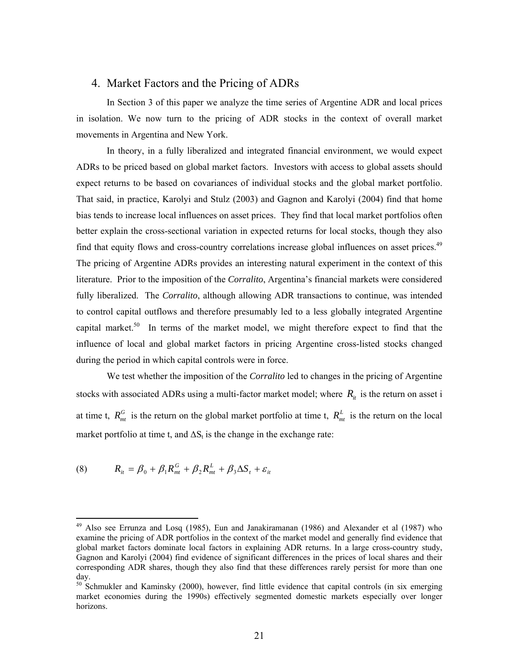### 4. Market Factors and the Pricing of ADRs

In Section 3 of this paper we analyze the time series of Argentine ADR and local prices in isolation. We now turn to the pricing of ADR stocks in the context of overall market movements in Argentina and New York.

In theory, in a fully liberalized and integrated financial environment, we would expect ADRs to be priced based on global market factors. Investors with access to global assets should expect returns to be based on covariances of individual stocks and the global market portfolio. That said, in practice, Karolyi and Stulz (2003) and Gagnon and Karolyi (2004) find that home bias tends to increase local influences on asset prices. They find that local market portfolios often better explain the cross-sectional variation in expected returns for local stocks, though they also find that equity flows and cross-country correlations increase global influences on asset prices.<sup>[49](#page-22-0)</sup> The pricing of Argentine ADRs provides an interesting natural experiment in the context of this literature. Prior to the imposition of the *Corralito*, Argentina's financial markets were considered fully liberalized. The *Corralito*, although allowing ADR transactions to continue, was intended to control capital outflows and therefore presumably led to a less globally integrated Argentine capital market.<sup>50</sup> In terms of the market model, we might therefore expect to find that the influence of local and global market factors in pricing Argentine cross-listed stocks changed during the period in which capital controls were in force.

We test whether the imposition of the *Corralito* led to changes in the pricing of Argentine stocks with associated ADRs using a multi-factor market model; where  $R$ <sub>*it*</sub> is the return on asset i at time t,  $R_{mt}^G$  is the return on the global market portfolio at time t,  $R_{mt}^L$  is the return on the local market portfolio at time t, and  $\Delta S_t$  is the change in the exchange rate:

$$
(8) \qquad R_{it} = \beta_0 + \beta_1 R_{mt}^G + \beta_2 R_{mt}^L + \beta_3 \Delta S_t + \varepsilon_{it}
$$

 $\overline{a}$ 

<span id="page-22-0"></span><sup>&</sup>lt;sup>49</sup> Also see Errunza and Losq (1985), Eun and Janakiramanan (1986) and Alexander et al (1987) who examine the pricing of ADR portfolios in the context of the market model and generally find evidence that global market factors dominate local factors in explaining ADR returns. In a large cross-country study, Gagnon and Karolyi (2004) find evidence of significant differences in the prices of local shares and their corresponding ADR shares, though they also find that these differences rarely persist for more than one

<span id="page-22-1"></span>day.<br><sup>50</sup> Schmukler and Kaminsky (2000), however, find little evidence that capital controls (in six emerging market economies during the 1990s) effectively segmented domestic markets especially over longer horizons.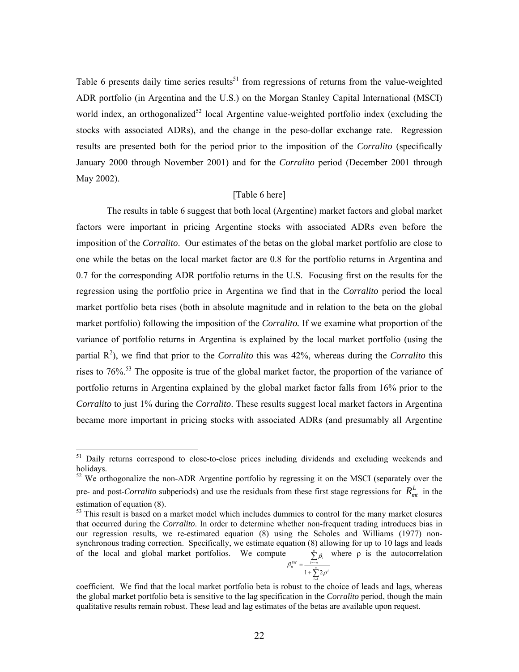Table 6 presents daily time series results<sup>51</sup> from regressions of returns from the value-weighted ADR portfolio (in Argentina and the U.S.) on the Morgan Stanley Capital International (MSCI) world index, an orthogonalized<sup>52</sup> local Argentine value-weighted portfolio index (excluding the stocks with associated ADRs), and the change in the peso-dollar exchange rate. Regression results are presented both for the period prior to the imposition of the *Corralito* (specifically January 2000 through November 2001) and for the *Corralito* period (December 2001 through May 2002).

#### [Table 6 here]

The results in table 6 suggest that both local (Argentine) market factors and global market factors were important in pricing Argentine stocks with associated ADRs even before the imposition of the *Corralito*. Our estimates of the betas on the global market portfolio are close to one while the betas on the local market factor are 0.8 for the portfolio returns in Argentina and 0.7 for the corresponding ADR portfolio returns in the U.S. Focusing first on the results for the regression using the portfolio price in Argentina we find that in the *Corralito* period the local market portfolio beta rises (both in absolute magnitude and in relation to the beta on the global market portfolio) following the imposition of the *Corralito.* If we examine what proportion of the variance of portfolio returns in Argentina is explained by the local market portfolio (using the partial  $R^2$ ), we find that prior to the *Corralito* this was 42%, whereas during the *Corralito* this rises to 76%.<sup>53</sup> The opposite is true of the global market factor, the proportion of the variance of portfolio returns in Argentina explained by the global market factor falls from 16% prior to the *Corralito* to just 1% during the *Corralito*. These results suggest local market factors in Argentina became more important in pricing stocks with associated ADRs (and presumably all Argentine

 $\overline{a}$ 

*i*

<span id="page-23-0"></span><sup>&</sup>lt;sup>51</sup> Daily returns correspond to close-to-close prices including dividends and excluding weekends and holidays.<br><sup>52</sup> We orthogonalize the non-ADR Argentine portfolio by regressing it on the MSCI (separately over the

<span id="page-23-1"></span>pre- and post-*Corralito* subperiods) and use the residuals from these first stage regressions for  $R_{nt}^L$  in the estimation of equation (8).<br><sup>53</sup> This result is based on a market model which includes dummies to control for the many market closures

<span id="page-23-2"></span>that occurred during the *Corralito*. In order to determine whether non-frequent trading introduces bias in our regression results, we re-estimated equation (8) using the Scholes and Williams (1977) nonsynchronous trading correction. Specifically, we estimate equation (8) allowing for up to 10 lags and leads of the local and global market portfolios. We compute ∑ *n* β where  $\rho$  is the autocorrelation

<sup>∑</sup> = =−  $=\frac{i=-i}{1+\sum_{n=1}^{n}$ *i*  $\frac{\sum_{i=-n}^{N} P_i}{n}$  $1+\sum_{i=1}^{n}2\rho$ β

coefficient. We find that the local market portfolio beta is robust to the choice of leads and lags, whereas the global market portfolio beta is sensitive to the lag specification in the *Corralito* period, though the main qualitative results remain robust. These lead and lag estimates of the betas are available upon request.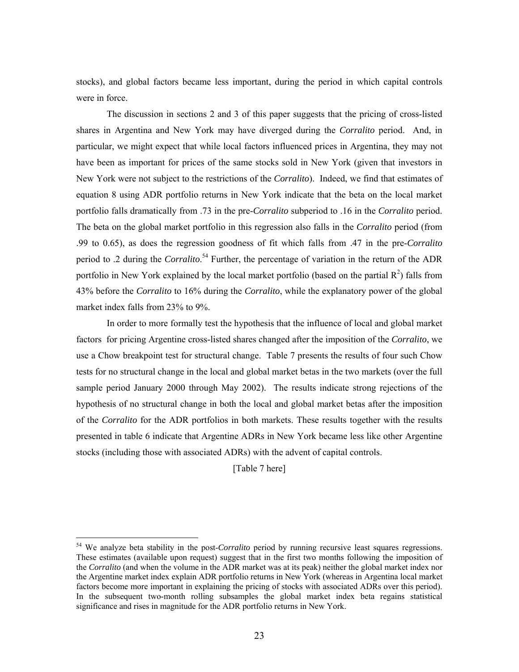stocks), and global factors became less important, during the period in which capital controls were in force.

The discussion in sections 2 and 3 of this paper suggests that the pricing of cross-listed shares in Argentina and New York may have diverged during the *Corralito* period. And, in particular, we might expect that while local factors influenced prices in Argentina, they may not have been as important for prices of the same stocks sold in New York (given that investors in New York were not subject to the restrictions of the *Corralito*). Indeed, we find that estimates of equation 8 using ADR portfolio returns in New York indicate that the beta on the local market portfolio falls dramatically from .73 in the pre-*Corralito* subperiod to .16 in the *Corralito* period. The beta on the global market portfolio in this regression also falls in the *Corralito* period (from .99 to 0.65), as does the regression goodness of fit which falls from .47 in the pre-*Corralito* period to .2 during the *Corralito*. [54](#page-24-0) Further, the percentage of variation in the return of the ADR portfolio in New York explained by the local market portfolio (based on the partial  $R^2$ ) falls from 43% before the *Corralito* to 16% during the *Corralito*, while the explanatory power of the global market index falls from 23% to 9%.

In order to more formally test the hypothesis that the influence of local and global market factors for pricing Argentine cross-listed shares changed after the imposition of the *Corralito*, we use a Chow breakpoint test for structural change. Table 7 presents the results of four such Chow tests for no structural change in the local and global market betas in the two markets (over the full sample period January 2000 through May 2002). The results indicate strong rejections of the hypothesis of no structural change in both the local and global market betas after the imposition of the *Corralito* for the ADR portfolios in both markets. These results together with the results presented in table 6 indicate that Argentine ADRs in New York became less like other Argentine stocks (including those with associated ADRs) with the advent of capital controls.

[Table 7 here]

 $\overline{a}$ 

<span id="page-24-0"></span><sup>54</sup> We analyze beta stability in the post-*Corralito* period by running recursive least squares regressions. These estimates (available upon request) suggest that in the first two months following the imposition of the *Corralito* (and when the volume in the ADR market was at its peak) neither the global market index nor the Argentine market index explain ADR portfolio returns in New York (whereas in Argentina local market factors become more important in explaining the pricing of stocks with associated ADRs over this period). In the subsequent two-month rolling subsamples the global market index beta regains statistical significance and rises in magnitude for the ADR portfolio returns in New York.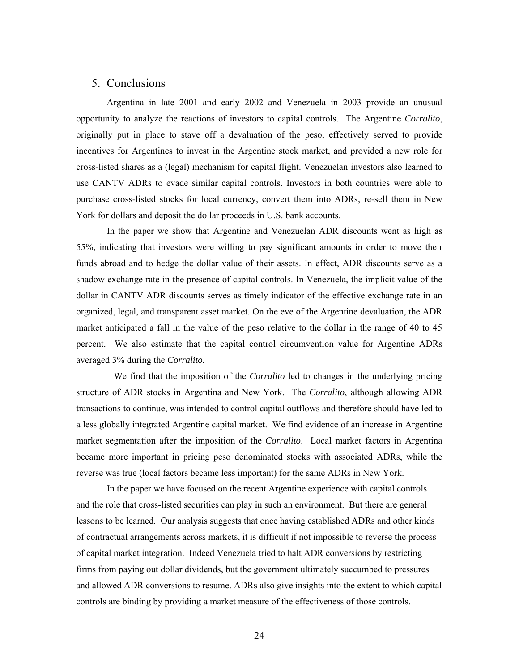#### 5. Conclusions

Argentina in late 2001 and early 2002 and Venezuela in 2003 provide an unusual opportunity to analyze the reactions of investors to capital controls. The Argentine *Corralito*, originally put in place to stave off a devaluation of the peso, effectively served to provide incentives for Argentines to invest in the Argentine stock market, and provided a new role for cross-listed shares as a (legal) mechanism for capital flight. Venezuelan investors also learned to use CANTV ADRs to evade similar capital controls. Investors in both countries were able to purchase cross-listed stocks for local currency, convert them into ADRs, re-sell them in New York for dollars and deposit the dollar proceeds in U.S. bank accounts.

In the paper we show that Argentine and Venezuelan ADR discounts went as high as 55%, indicating that investors were willing to pay significant amounts in order to move their funds abroad and to hedge the dollar value of their assets. In effect, ADR discounts serve as a shadow exchange rate in the presence of capital controls. In Venezuela, the implicit value of the dollar in CANTV ADR discounts serves as timely indicator of the effective exchange rate in an organized, legal, and transparent asset market. On the eve of the Argentine devaluation, the ADR market anticipated a fall in the value of the peso relative to the dollar in the range of 40 to 45 percent. We also estimate that the capital control circumvention value for Argentine ADRs averaged 3% during the *Corralito.*

We find that the imposition of the *Corralito* led to changes in the underlying pricing structure of ADR stocks in Argentina and New York. The *Corralito*, although allowing ADR transactions to continue, was intended to control capital outflows and therefore should have led to a less globally integrated Argentine capital market. We find evidence of an increase in Argentine market segmentation after the imposition of the *Corralito*. Local market factors in Argentina became more important in pricing peso denominated stocks with associated ADRs, while the reverse was true (local factors became less important) for the same ADRs in New York.

In the paper we have focused on the recent Argentine experience with capital controls and the role that cross-listed securities can play in such an environment. But there are general lessons to be learned. Our analysis suggests that once having established ADRs and other kinds of contractual arrangements across markets, it is difficult if not impossible to reverse the process of capital market integration. Indeed Venezuela tried to halt ADR conversions by restricting firms from paying out dollar dividends, but the government ultimately succumbed to pressures and allowed ADR conversions to resume. ADRs also give insights into the extent to which capital controls are binding by providing a market measure of the effectiveness of those controls.

24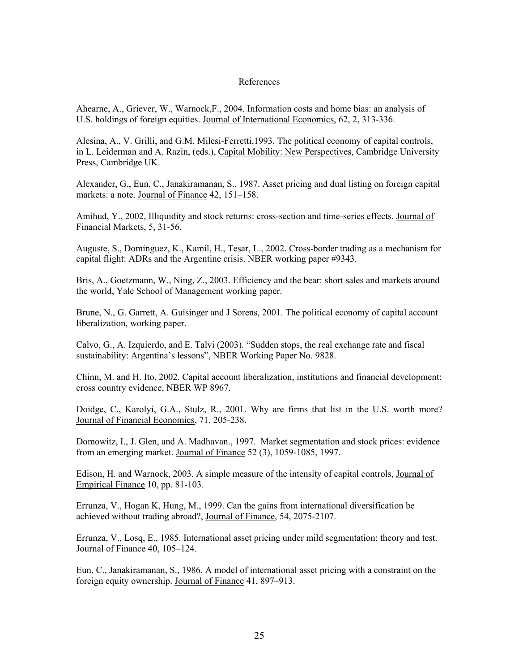#### References

Ahearne, A., Griever, W., Warnock,F., 2004. Information costs and home bias: an analysis of U.S. holdings of foreign equities. Journal of International Economics, 62, 2, 313-336.

Alesina, A., V. Grilli, and G.M. Milesi-Ferretti,1993. The political economy of capital controls, in L. Leiderman and A. Razin, (eds.), Capital Mobility: New Perspectives, Cambridge University Press, Cambridge UK.

Alexander, G., Eun, C., Janakiramanan, S., 1987. Asset pricing and dual listing on foreign capital markets: a note. Journal of Finance 42, 151–158.

Amihud, Y., 2002, Illiquidity and stock returns: cross-section and time-series effects. Journal of Financial Markets, 5, 31-56.

Auguste, S., Dominguez, K., Kamil, H., Tesar, L., 2002. Cross-border trading as a mechanism for capital flight: ADRs and the Argentine crisis. NBER working paper #9343.

Bris, A., Goetzmann, W., Ning, Z., 2003. Efficiency and the bear: short sales and markets around the world, Yale School of Management working paper.

Brune, N., G. Garrett, A. Guisinger and J Sorens, 2001. The political economy of capital account liberalization, working paper.

Calvo, G., A. Izquierdo, and E. Talvi (2003). "Sudden stops, the real exchange rate and fiscal sustainability: Argentina's lessons", NBER Working Paper No. 9828.

Chinn, M. and H. Ito, 2002. Capital account liberalization, institutions and financial development: cross country evidence, NBER WP 8967.

Doidge, C., Karolyi, G.A., Stulz, R., 2001. Why are firms that list in the U.S. worth more? Journal of Financial Economics, 71, 205-238.

Domowitz, I., J. Glen, and A. Madhavan., 1997. Market segmentation and stock prices: evidence from an emerging market. Journal of Finance 52 (3), 1059-1085, 1997.

Edison, H. and Warnock, 2003. A simple measure of the intensity of capital controls, Journal of Empirical Finance 10, pp. 81-103.

Errunza, V., Hogan K, Hung, M., 1999. Can the gains from international diversification be achieved without trading abroad?, Journal of Finance, 54, 2075-2107.

Errunza, V., Losq, E., 1985. International asset pricing under mild segmentation: theory and test. Journal of Finance 40, 105–124.

Eun, C., Janakiramanan, S., 1986. A model of international asset pricing with a constraint on the foreign equity ownership. Journal of Finance 41, 897–913.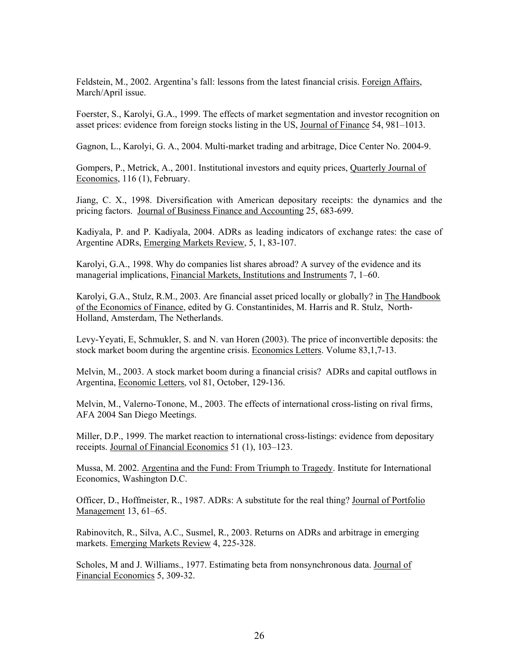Feldstein, M., 2002. Argentina's fall: lessons from the latest financial crisis. Foreign Affairs, March/April issue.

Foerster, S., Karolyi, G.A., 1999. The effects of market segmentation and investor recognition on asset prices: evidence from foreign stocks listing in the US, Journal of Finance 54, 981–1013.

Gagnon, L., Karolyi, G. A., 2004. Multi-market trading and arbitrage, Dice Center No. 2004-9.

Gompers, P., Metrick, A., 2001. Institutional investors and equity prices, Quarterly Journal of Economics, 116 (1), February.

Jiang, C. X., 1998. Diversification with American depositary receipts: the dynamics and the pricing factors. Journal of Business Finance and Accounting 25, 683-699.

Kadiyala, P. and P. Kadiyala, 2004. ADRs as leading indicators of exchange rates: the case of Argentine ADRs, Emerging Markets Review, 5, 1, 83-107.

Karolyi, G.A., 1998. Why do companies list shares abroad? A survey of the evidence and its managerial implications, Financial Markets, Institutions and Instruments 7, 1–60.

Karolyi, G.A., Stulz, R.M., 2003. Are financial asset priced locally or globally? in The Handbook of the Economics of Finance, edited by G. Constantinides, M. Harris and R. Stulz, North-Holland, Amsterdam, The Netherlands.

Levy-Yeyati, E, Schmukler, S. and N. van Horen (2003). The price of inconvertible deposits: the stock market boom during the argentine crisis. Economics Letters. Volume 83,1,7-13.

Melvin, M., 2003. A stock market boom during a financial crisis? ADRs and capital outflows in Argentina, Economic Letters, vol 81, October, 129-136.

Melvin, M., Valerno-Tonone, M., 2003. The effects of international cross-listing on rival firms, AFA 2004 San Diego Meetings.

Miller, D.P., 1999. The market reaction to international cross-listings: evidence from depositary receipts. Journal of Financial Economics 51 (1), 103–123.

Mussa, M. 2002. Argentina and the Fund: From Triumph to Tragedy. Institute for International Economics, Washington D.C.

Officer, D., Hoffmeister, R., 1987. ADRs: A substitute for the real thing? Journal of Portfolio Management 13, 61–65.

Rabinovitch, R., Silva, A.C., Susmel, R., 2003. Returns on ADRs and arbitrage in emerging markets. Emerging Markets Review 4, 225-328.

Scholes, M and J. Williams., 1977. Estimating beta from nonsynchronous data. Journal of Financial Economics 5, 309-32.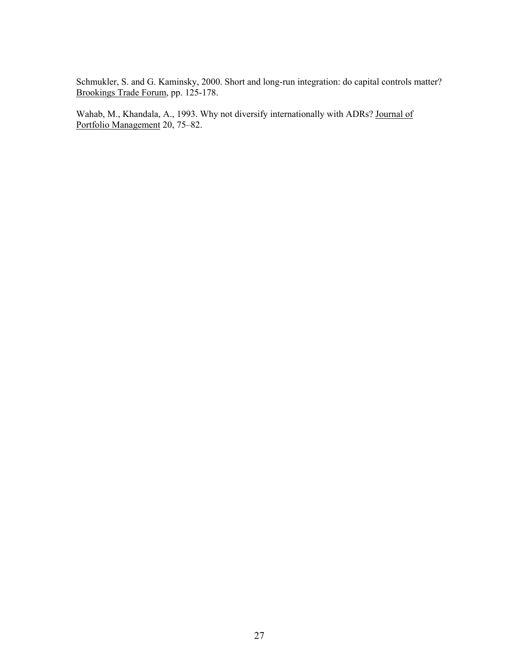Schmukler, S. and G. Kaminsky, 2000. Short and long-run integration: do capital controls matter? Brookings Trade Forum, pp. 125-178.

Wahab, M., Khandala, A., 1993. Why not diversify internationally with ADRs? Journal of Portfolio Management 20, 75–82.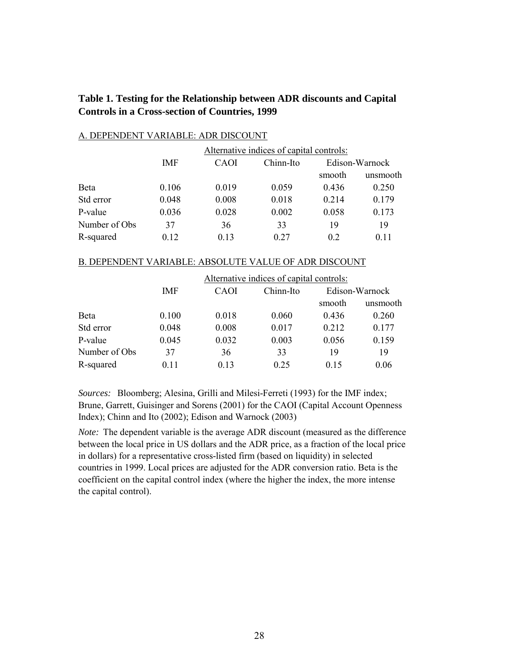### **Table 1. Testing for the Relationship between ADR discounts and Capital Controls in a Cross-section of Countries, 1999**

#### A. DEPENDENT VARIABLE: ADR DISCOUNT

|               | Alternative indices of capital controls: |       |           |                |          |
|---------------|------------------------------------------|-------|-----------|----------------|----------|
|               | <b>IMF</b>                               | CAOI  | Chinn-Ito | Edison-Warnock |          |
|               |                                          |       |           | smooth         | unsmooth |
| Beta          | 0.106                                    | 0.019 | 0.059     | 0.436          | 0.250    |
| Std error     | 0.048                                    | 0.008 | 0.018     | 0.214          | 0.179    |
| P-value       | 0.036                                    | 0.028 | 0.002     | 0.058          | 0.173    |
| Number of Obs | 37                                       | 36    | 33        | 19             | 19       |
| R-squared     | 0.12                                     | 0.13  | 0.27      | 02             | 0.11     |

#### B. DEPENDENT VARIABLE: ABSOLUTE VALUE OF ADR DISCOUNT

|               | Alternative indices of capital controls: |       |           |                |          |
|---------------|------------------------------------------|-------|-----------|----------------|----------|
|               | <b>IMF</b>                               | CAOI  | Chinn-Ito | Edison-Warnock |          |
|               |                                          |       |           | smooth         | unsmooth |
| Beta          | 0.100                                    | 0.018 | 0.060     | 0.436          | 0.260    |
| Std error     | 0.048                                    | 0.008 | 0.017     | 0.212          | 0.177    |
| P-value       | 0.045                                    | 0.032 | 0.003     | 0.056          | 0.159    |
| Number of Obs | 37                                       | 36    | 33        | 19             | 19       |
| R-squared     | 0.11                                     | 0.13  | 0.25      | 0.15           | 0.06     |

*Sources:* Bloomberg; Alesina, Grilli and Milesi-Ferreti (1993) for the IMF index; Brune, Garrett, Guisinger and Sorens (2001) for the CAOI (Capital Account Openness Index); Chinn and Ito (2002); Edison and Warnock (2003)

*Note:* The dependent variable is the average ADR discount (measured as the difference between the local price in US dollars and the ADR price, as a fraction of the local price in dollars) for a representative cross-listed firm (based on liquidity) in selected countries in 1999. Local prices are adjusted for the ADR conversion ratio. Beta is the coefficient on the capital control index (where the higher the index, the more intense the capital control).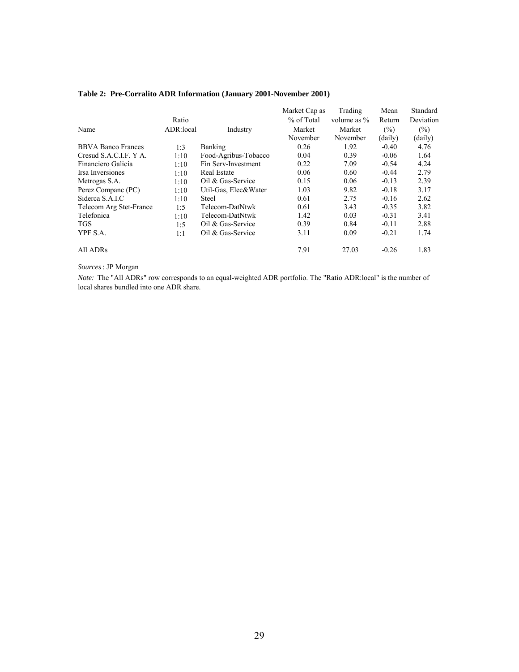|                           |           |                      | Market Cap as | Trading        | Mean          | Standard      |
|---------------------------|-----------|----------------------|---------------|----------------|---------------|---------------|
|                           | Ratio     |                      | % of Total    | volume as $\%$ | Return        | Deviation     |
| Name                      | ADR:local | Industry             | Market        | Market         | $\frac{6}{2}$ | $\frac{6}{2}$ |
|                           |           |                      | November      | November       | (daily)       | (daily)       |
| <b>BBVA Banco Frances</b> | 1:3       | <b>Banking</b>       | 0.26          | 1.92           | $-0.40$       | 4.76          |
| Cresud S.A.C.I.F. Y A.    | 1:10      | Food-Agribus-Tobacco | 0.04          | 0.39           | $-0.06$       | 1.64          |
| Financiero Galicia        | 1:10      | Fin Serv-Investment  | 0.22          | 7.09           | $-0.54$       | 4.24          |
| Irsa Inversiones          | 1:10      | Real Estate          | 0.06          | 0.60           | $-0.44$       | 2.79          |
| Metrogas S.A.             | 1:10      | Oil & Gas-Service    | 0.15          | 0.06           | $-0.13$       | 2.39          |
| Perez Companc (PC)        | 1:10      | Util-Gas, Elec&Water | 1.03          | 9.82           | $-0.18$       | 3.17          |
| Siderca S.A.I.C           | 1:10      | Steel                | 0.61          | 2.75           | $-0.16$       | 2.62          |
| Telecom Arg Stet-France   | 1:5       | Telecom-DatNtwk      | 0.61          | 3.43           | $-0.35$       | 3.82          |
| Telefonica                | 1:10      | Telecom-DatNtwk      | 1.42          | 0.03           | $-0.31$       | 3.41          |
| <b>TGS</b>                | 1:5       | Oil & Gas-Service    | 0.39          | 0.84           | $-0.11$       | 2.88          |
| YPF S.A.                  | 1:1       | Oil & Gas-Service    | 3.11          | 0.09           | $-0.21$       | 1.74          |
| All ADRs                  |           |                      | 7.91          | 27.03          | $-0.26$       | 1.83          |

#### **Table 2: Pre-Corralito ADR Information (January 2001-November 2001)**

*Sources*: JP Morgan

*Note:* The "All ADRs" row corresponds to an equal-weighted ADR portfolio. The "Ratio ADR:local" is the number of local shares bundled into one ADR share.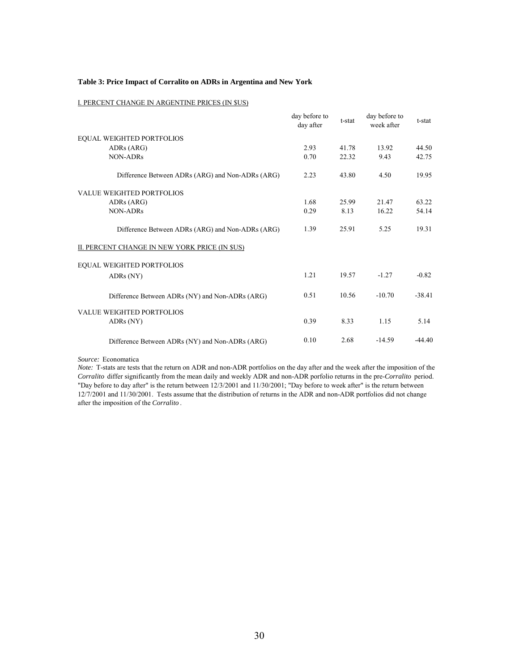#### **Table 3: Price Impact of Corralito on ADRs in Argentina and New York**

#### I. PERCENT CHANGE IN ARGENTINE PRICES (IN \$US)

|                                                  | day before to<br>day after | t-stat | day before to<br>week after | t-stat   |
|--------------------------------------------------|----------------------------|--------|-----------------------------|----------|
| <b>EQUAL WEIGHTED PORTFOLIOS</b>                 |                            |        |                             |          |
| ADRs (ARG)                                       | 2.93                       | 41.78  | 13.92                       | 44.50    |
| <b>NON-ADRs</b>                                  | 0.70                       | 22.32  | 9.43                        | 42.75    |
| Difference Between ADRs (ARG) and Non-ADRs (ARG) | 2.23                       | 43.80  | 4.50                        | 19.95    |
| <b>VALUE WEIGHTED PORTFOLIOS</b>                 |                            |        |                             |          |
| ADRs (ARG)                                       | 1.68                       | 25.99  | 21.47                       | 63.22    |
| <b>NON-ADRs</b>                                  | 0.29                       | 8.13   | 16.22                       | 54.14    |
| Difference Between ADRs (ARG) and Non-ADRs (ARG) | 1.39                       | 25.91  | 5.25                        | 19.31    |
| II. PERCENT CHANGE IN NEW YORK PRICE (IN \$US)   |                            |        |                             |          |
| <b>EQUAL WEIGHTED PORTFOLIOS</b>                 |                            |        |                             |          |
| ADRs (NY)                                        | 1.21                       | 19.57  | $-1.27$                     | $-0.82$  |
| Difference Between ADRs (NY) and Non-ADRs (ARG)  | 0.51                       | 10.56  | $-10.70$                    | $-38.41$ |
| <b>VALUE WEIGHTED PORTFOLIOS</b>                 |                            |        |                             |          |
| ADRs (NY)                                        | 0.39                       | 8.33   | 1.15                        | 5.14     |
| Difference Between ADRs (NY) and Non-ADRs (ARG)  | 0.10                       | 2.68   | $-14.59$                    | $-44.40$ |

#### *Source:* Economatica

*Note:* T-stats are tests that the return on ADR and non-ADR portfolios on the day after and the week after the imposition of the *Corralito* differ significantly from the mean daily and weekly ADR and non-ADR porfolio returns in the pre-*Corralito* period. "Day before to day after" is the return between 12/3/2001 and 11/30/2001; "Day before to week after" is the return between 12/7/2001 and 11/30/2001. Tests assume that the distribution of returns in the ADR and non-ADR portfolios did not change after the imposition of the *Corralito* .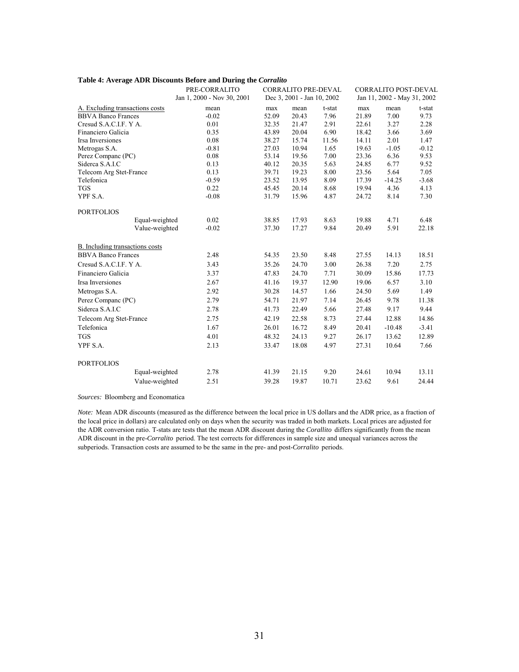#### **Table 4: Average ADR Discounts Before and During the** *Corralito*

|                                 | PRE-CORRALITO              |       | <b>CORRALITO PRE-DEVAL</b> |        |       | <b>CORRALITO POST-DEVAL</b> |         |
|---------------------------------|----------------------------|-------|----------------------------|--------|-------|-----------------------------|---------|
|                                 | Jan 1, 2000 - Nov 30, 2001 |       | Dec 3, 2001 - Jan 10, 2002 |        |       | Jan 11, 2002 - May 31, 2002 |         |
| A. Excluding transactions costs | mean                       | max   | mean                       | t-stat | max   | mean                        | t-stat  |
| <b>BBVA Banco Frances</b>       | $-0.02$                    | 52.09 | 20.43                      | 7.96   | 21.89 | 7.00                        | 9.73    |
| Cresud S.A.C.I.F. Y A.          | 0.01                       | 32.35 | 21.47                      | 2.91   | 22.61 | 3.27                        | 2.28    |
| Financiero Galicia              | 0.35                       | 43.89 | 20.04                      | 6.90   | 18.42 | 3.66                        | 3.69    |
| Irsa Inversiones                | 0.08                       | 38.27 | 15.74                      | 11.56  | 14.11 | 2.01                        | 1.47    |
| Metrogas S.A.                   | $-0.81$                    | 27.03 | 10.94                      | 1.65   | 19.63 | $-1.05$                     | $-0.12$ |
| Perez Companc (PC)              | 0.08                       | 53.14 | 19.56                      | 7.00   | 23.36 | 6.36                        | 9.53    |
| Siderca S.A.I.C                 | 0.13                       | 40.12 | 20.35                      | 5.63   | 24.85 | 6.77                        | 9.52    |
| Telecom Arg Stet-France         | 0.13                       | 39.71 | 19.23                      | 8.00   | 23.56 | 5.64                        | 7.05    |
| Telefonica                      | $-0.59$                    | 23.52 | 13.95                      | 8.09   | 17.39 | $-14.25$                    | $-3.68$ |
| <b>TGS</b>                      | 0.22                       | 45.45 | 20.14                      | 8.68   | 19.94 | 4.36                        | 4.13    |
| YPF S.A.                        | $-0.08$                    | 31.79 | 15.96                      | 4.87   | 24.72 | 8.14                        | 7.30    |
| <b>PORTFOLIOS</b>               |                            |       |                            |        |       |                             |         |
| Equal-weighted                  | 0.02                       | 38.85 | 17.93                      | 8.63   | 19.88 | 4.71                        | 6.48    |
| Value-weighted                  | $-0.02$                    | 37.30 | 17.27                      | 9.84   | 20.49 | 5.91                        | 22.18   |
| B. Including transactions costs |                            |       |                            |        |       |                             |         |
| <b>BBVA Banco Frances</b>       | 2.48                       | 54.35 | 23.50                      | 8.48   | 27.55 | 14.13                       | 18.51   |
| Cresud S.A.C.I.F. Y A.          | 3.43                       | 35.26 | 24.70                      | 3.00   | 26.38 | 7.20                        | 2.75    |
| Financiero Galicia              | 3.37                       | 47.83 | 24.70                      | 7.71   | 30.09 | 15.86                       | 17.73   |
| Irsa Inversiones                | 2.67                       | 41.16 | 19.37                      | 12.90  | 19.06 | 6.57                        | 3.10    |
| Metrogas S.A.                   | 2.92                       | 30.28 | 14.57                      | 1.66   | 24.50 | 5.69                        | 1.49    |
| Perez Companc (PC)              | 2.79                       | 54.71 | 21.97                      | 7.14   | 26.45 | 9.78                        | 11.38   |
| Siderca S.A.I.C                 | 2.78                       | 41.73 | 22.49                      | 5.66   | 27.48 | 9.17                        | 9.44    |
| Telecom Arg Stet-France         | 2.75                       | 42.19 | 22.58                      | 8.73   | 27.44 | 12.88                       | 14.86   |
| Telefonica                      | 1.67                       | 26.01 | 16.72                      | 8.49   | 20.41 | $-10.48$                    | $-3.41$ |
| <b>TGS</b>                      | 4.01                       | 48.32 | 24.13                      | 9.27   | 26.17 | 13.62                       | 12.89   |
| YPF S.A.                        | 2.13                       | 33.47 | 18.08                      | 4.97   | 27.31 | 10.64                       | 7.66    |
| <b>PORTFOLIOS</b>               |                            |       |                            |        |       |                             |         |
| Equal-weighted                  | 2.78                       | 41.39 | 21.15                      | 9.20   | 24.61 | 10.94                       | 13.11   |
| Value-weighted                  | 2.51                       | 39.28 | 19.87                      | 10.71  | 23.62 | 9.61                        | 24.44   |

*Sources:* Bloomberg and Economatica

*Note:* Mean ADR discounts (measured as the difference between the local price in US dollars and the ADR price, as a fraction of the local price in dollars) are calculated only on days when the security was traded in both markets. Local prices are adjusted for the ADR conversion ratio. T-stats are tests that the mean ADR discount during the *Corallito* differs significantly from the mean ADR discount in the pre-*Corralito* period. The test corrects for differences in sample size and unequal variances across the subperiods. Transaction costs are assumed to be the same in the pre- and post-*Corralito* periods.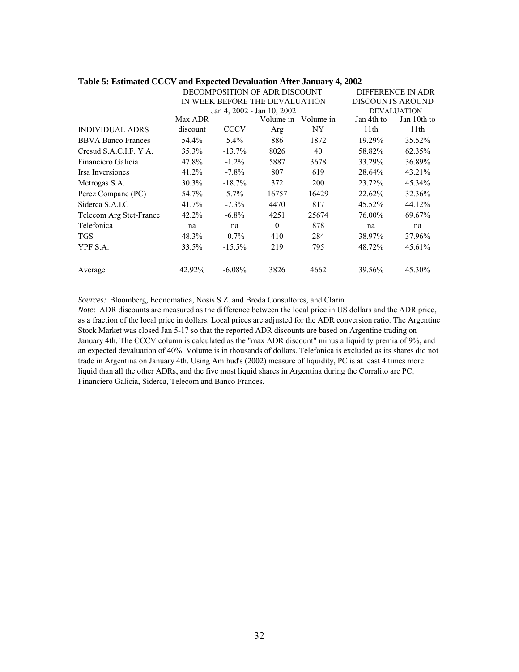|                           |          |                                | DECOMPOSITION OF ADR DISCOUNT |                     |            | DIFFERENCE IN ADR  |  |
|---------------------------|----------|--------------------------------|-------------------------------|---------------------|------------|--------------------|--|
|                           |          | IN WEEK BEFORE THE DEVALUATION | <b>DISCOUNTS AROUND</b>       |                     |            |                    |  |
|                           |          |                                | Jan 4, 2002 - Jan 10, 2002    |                     |            | <b>DEVALUATION</b> |  |
|                           | Max ADR  |                                |                               | Volume in Volume in | Jan 4th to | Jan 10th to        |  |
| <b>INDIVIDUAL ADRS</b>    | discount | <b>CCCV</b>                    | Arg                           | NY                  | 11th       | 11th               |  |
| <b>BBVA Banco Frances</b> | 54.4%    | $5.4\%$                        | 886                           | 1872                | 19.29%     | 35.52%             |  |
| Cresud S.A.C.I.F. Y A.    | 35.3%    | $-13.7\%$                      | 8026                          | 40                  | 58.82%     | 62.35%             |  |
| Financiero Galicia        | 47.8%    | $-1.2\%$                       | 5887                          | 3678                | 33.29%     | 36.89%             |  |
| Irsa Inversiones          | 41.2%    | $-7.8\%$                       | 807                           | 619                 | 28.64%     | 43.21%             |  |
| Metrogas S.A.             | 30.3%    | $-18.7%$                       | 372                           | 200                 | 23.72%     | 45.34%             |  |
| Perez Companc (PC)        | 54.7%    | $5.7\%$                        | 16757                         | 16429               | 22.62%     | 32.36%             |  |
| Siderca S.A.I.C           | 41.7%    | $-7.3\%$                       | 4470                          | 817                 | 45.52%     | 44.12%             |  |
| Telecom Arg Stet-France   | $42.2\%$ | $-6.8\%$                       | 4251                          | 25674               | 76.00%     | 69.67%             |  |
| Telefonica                | na       | na                             | $\Omega$                      | 878                 | na         | na                 |  |
| <b>TGS</b>                | 48.3%    | $-0.7\%$                       | 410                           | 284                 | 38.97%     | 37.96%             |  |
| YPF S.A.                  | 33.5%    | $-15.5\%$                      | 219                           | 795                 | 48.72%     | 45.61%             |  |
| Average                   | 42.92%   | $-6.08\%$                      | 3826                          | 4662                | 39.56%     | 45.30%             |  |

*Sources:* Bloomberg, Economatica, Nosis S.Z. and Broda Consultores, and Clarin

*Note:* ADR discounts are measured as the difference between the local price in US dollars and the ADR price, as a fraction of the local price in dollars. Local prices are adjusted for the ADR conversion ratio. The Argentine Stock Market was closed Jan 5-17 so that the reported ADR discounts are based on Argentine trading on January 4th. The CCCV column is calculated as the "max ADR discount" minus a liquidity premia of 9%, and an expected devaluation of 40%. Volume is in thousands of dollars. Telefonica is excluded as its shares did not trade in Argentina on January 4th. Using Amihud's (2002) measure of liquidity, PC is at least 4 times more liquid than all the other ADRs, and the five most liquid shares in Argentina during the Corralito are PC, Financiero Galicia, Siderca, Telecom and Banco Frances.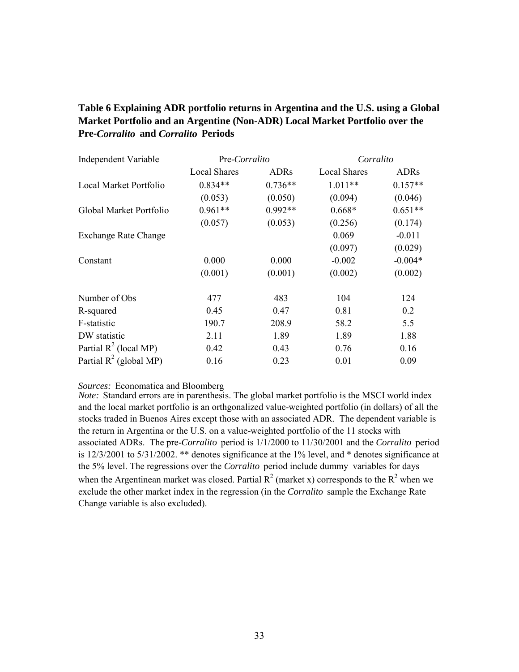### **Table 6 Explaining ADR portfolio returns in Argentina and the U.S. using a Global Market Portfolio and an Argentine (Non-ADR) Local Market Portfolio over the Pre-***Corralito* **and** *Corralito* **Periods**

| Independent Variable          | Pre-Corralito       |                  |                     | Corralito   |  |  |
|-------------------------------|---------------------|------------------|---------------------|-------------|--|--|
|                               | <b>Local Shares</b> | ADR <sub>s</sub> | <b>Local Shares</b> | <b>ADRs</b> |  |  |
| <b>Local Market Portfolio</b> | $0.834**$           | $0.736**$        | $1.011**$           | $0.157**$   |  |  |
|                               | (0.053)             | (0.050)          | (0.094)             | (0.046)     |  |  |
| Global Market Portfolio       | $0.961**$           | $0.992**$        | $0.668*$            | $0.651**$   |  |  |
|                               | (0.057)             | (0.053)          | (0.256)             | (0.174)     |  |  |
| <b>Exchange Rate Change</b>   |                     |                  | 0.069               | $-0.011$    |  |  |
|                               |                     |                  | (0.097)             | (0.029)     |  |  |
| Constant                      | 0.000               | 0.000            | $-0.002$            | $-0.004*$   |  |  |
|                               | (0.001)             | (0.001)          | (0.002)             | (0.002)     |  |  |
| Number of Obs                 | 477                 | 483              | 104                 | 124         |  |  |
| R-squared                     | 0.45                | 0.47             | 0.81                | 0.2         |  |  |
| F-statistic                   | 190.7               | 208.9            | 58.2                | 5.5         |  |  |
| DW statistic                  | 2.11                | 1.89             | 1.89                | 1.88        |  |  |
| Partial $R^2$ (local MP)      | 0.42                | 0.43             | 0.76                | 0.16        |  |  |
| Partial $R^2$ (global MP)     | 0.16                | 0.23             | 0.01                | 0.09        |  |  |

#### *Sources:* Economatica and Bloomberg

*Note:* Standard errors are in parenthesis. The global market portfolio is the MSCI world index and the local market portfolio is an orthgonalized value-weighted portfolio (in dollars) of all the stocks traded in Buenos Aires except those with an associated ADR. The dependent variable is the return in Argentina or the U.S. on a value-weighted portfolio of the 11 stocks with associated ADRs. The pre-*Corralito* period is 1/1/2000 to 11/30/2001 and the *Corralito* period is 12/3/2001 to 5/31/2002. \*\* denotes significance at the 1% level, and \* denotes significance at the 5% level. The regressions over the *Corralito* period include dummy variables for days when the Argentinean market was closed. Partial  $R^2$  (market x) corresponds to the  $R^2$  when we exclude the other market index in the regression (in the *Corralito* sample the Exchange Rate Change variable is also excluded).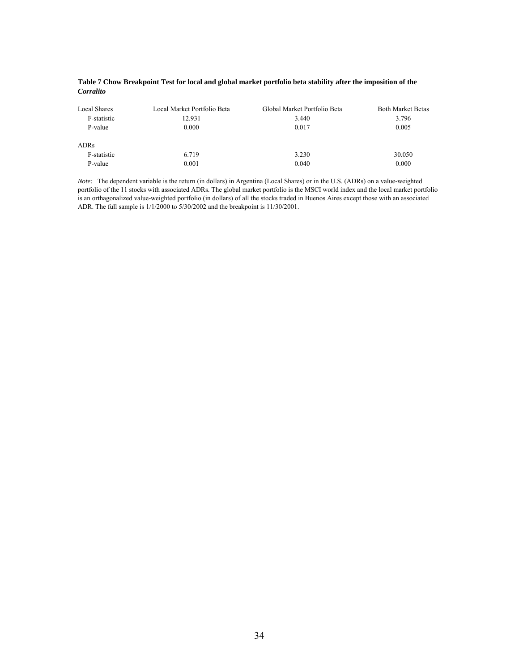| <b>Local Shares</b> | Local Market Portfolio Beta | Global Market Portfolio Beta | <b>Both Market Betas</b> |
|---------------------|-----------------------------|------------------------------|--------------------------|
| F-statistic         | 12.931                      | 3.440                        | 3.796                    |
| P-value             | 0.000                       | 0.017                        | 0.005                    |
| ADRs                |                             |                              |                          |
| F-statistic         | 6.719                       | 3.230                        | 30.050                   |
| P-value             | 0.001                       | 0.040                        | 0.000                    |

#### **Table 7 Chow Breakpoint Test for local and global market portfolio beta stability after the imposition of the** *Corralito*

*Note:* The dependent variable is the return (in dollars) in Argentina (Local Shares) or in the U.S. (ADRs) on a value-weighted portfolio of the 11 stocks with associated ADRs. The global market portfolio is the MSCI world index and the local market portfolio is an orthagonalized value-weighted portfolio (in dollars) of all the stocks traded in Buenos Aires except those with an associated ADR. The full sample is 1/1/2000 to 5/30/2002 and the breakpoint is 11/30/2001.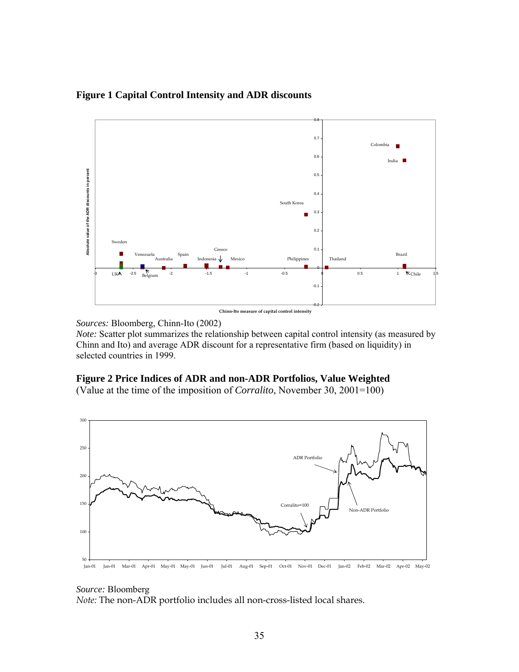#### **Figure 1 Capital Control Intensity and ADR discounts**



*Sources:* Bloomberg, Chinn-Ito (2002)

*Note:* Scatter plot summarizes the relationship between capital control intensity (as measured by Chinn and Ito) and average ADR discount for a representative firm (based on liquidity) in selected countries in 1999.

#### **Figure 2 Price Indices of ADR and non-ADR Portfolios, Value Weighted**

(Value at the time of the imposition of *Corralito*, November 30, 2001=100)



*Source:* Bloomberg *Note:* The non-ADR portfolio includes all non-cross-listed local shares.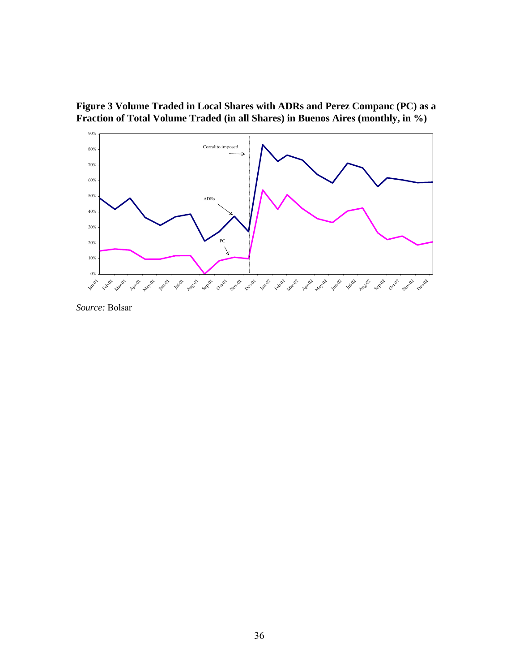**Figure 3 Volume Traded in Local Shares with ADRs and Perez Companc (PC) as a Fraction of Total Volume Traded (in all Shares) in Buenos Aires (monthly, in %)** 



*Source:* Bolsar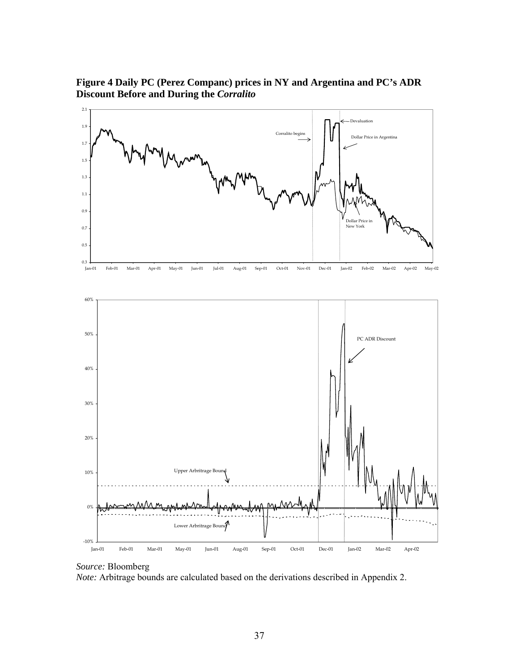**Figure 4 Daily PC (Perez Companc) prices in NY and Argentina and PC's ADR Discount Before and During the** *Corralito*





*Note:* Arbitrage bounds are calculated based on the derivations described in Appendix 2.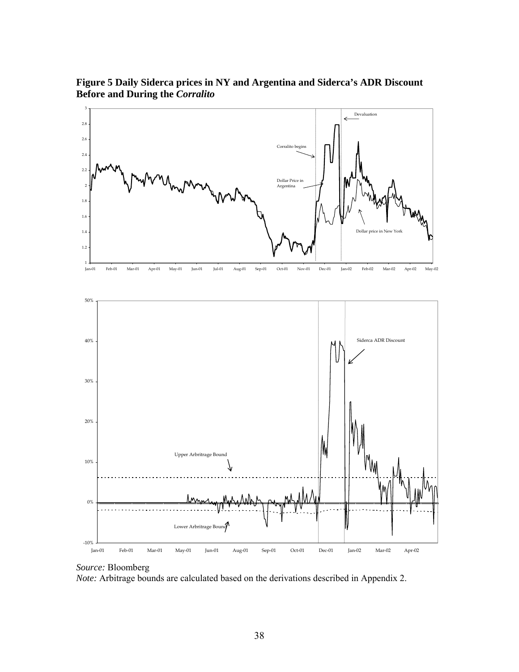

**Figure 5 Daily Siderca prices in NY and Argentina and Siderca's ADR Discount Before and During the** *Corralito*

*Source:* Bloomberg *Note:* Arbitrage bounds are calculated based on the derivations described in Appendix 2.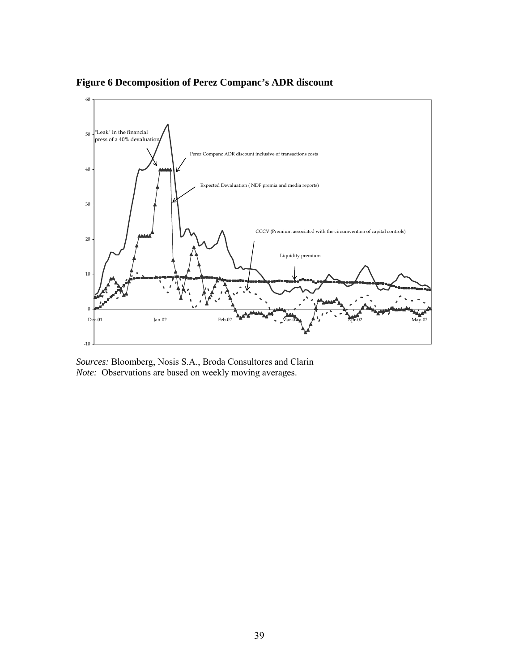

### **Figure 6 Decomposition of Perez Companc's ADR discount**

*Sources:* Bloomberg, Nosis S.A., Broda Consultores and Clarin *Note:* Observations are based on weekly moving averages.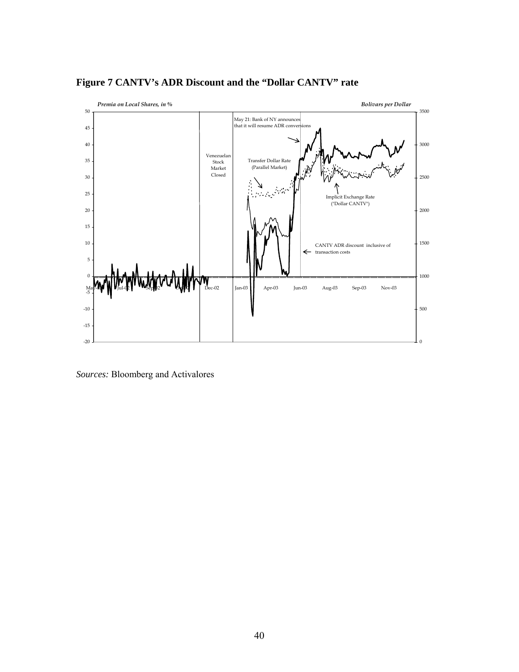

### **Figure 7 CANTV's ADR Discount and the "Dollar CANTV" rate**

*Sources:* Bloomberg and Activalores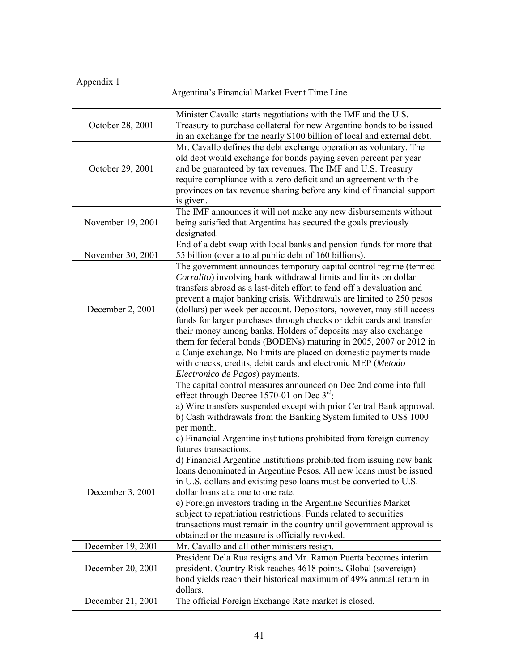# Appendix 1

## Argentina's Financial Market Event Time Line

|                   | Minister Cavallo starts negotiations with the IMF and the U.S.                                                                       |
|-------------------|--------------------------------------------------------------------------------------------------------------------------------------|
| October 28, 2001  | Treasury to purchase collateral for new Argentine bonds to be issued                                                                 |
|                   | in an exchange for the nearly \$100 billion of local and external debt.                                                              |
|                   | Mr. Cavallo defines the debt exchange operation as voluntary. The                                                                    |
|                   | old debt would exchange for bonds paying seven percent per year<br>and be guaranteed by tax revenues. The IMF and U.S. Treasury      |
| October 29, 2001  | require compliance with a zero deficit and an agreement with the                                                                     |
|                   | provinces on tax revenue sharing before any kind of financial support                                                                |
|                   | is given.                                                                                                                            |
|                   | The IMF announces it will not make any new disbursements without                                                                     |
| November 19, 2001 | being satisfied that Argentina has secured the goals previously                                                                      |
|                   | designated.                                                                                                                          |
|                   | End of a debt swap with local banks and pension funds for more that                                                                  |
| November 30, 2001 | 55 billion (over a total public debt of 160 billions).                                                                               |
|                   | The government announces temporary capital control regime (termed                                                                    |
|                   | Corralito) involving bank withdrawal limits and limits on dollar                                                                     |
|                   | transfers abroad as a last-ditch effort to fend off a devaluation and                                                                |
|                   | prevent a major banking crisis. Withdrawals are limited to 250 pesos                                                                 |
| December 2, 2001  | (dollars) per week per account. Depositors, however, may still access                                                                |
|                   | funds for larger purchases through checks or debit cards and transfer                                                                |
|                   | their money among banks. Holders of deposits may also exchange                                                                       |
|                   | them for federal bonds (BODENs) maturing in 2005, 2007 or 2012 in                                                                    |
|                   | a Canje exchange. No limits are placed on domestic payments made                                                                     |
|                   | with checks, credits, debit cards and electronic MEP (Metodo                                                                         |
|                   | Electronico de Pagos) payments.                                                                                                      |
|                   |                                                                                                                                      |
|                   | The capital control measures announced on Dec 2nd come into full<br>effect through Decree 1570-01 on Dec $3rd$ .                     |
|                   | a) Wire transfers suspended except with prior Central Bank approval.                                                                 |
|                   | b) Cash withdrawals from the Banking System limited to US\$ 1000                                                                     |
|                   | per month.                                                                                                                           |
|                   | c) Financial Argentine institutions prohibited from foreign currency                                                                 |
|                   | futures transactions.                                                                                                                |
|                   | d) Financial Argentine institutions prohibited from issuing new bank                                                                 |
|                   | loans denominated in Argentine Pesos. All new loans must be issued                                                                   |
|                   | in U.S. dollars and existing peso loans must be converted to U.S.                                                                    |
| December 3, 2001  | dollar loans at a one to one rate.                                                                                                   |
|                   | e) Foreign investors trading in the Argentine Securities Market<br>subject to repatriation restrictions. Funds related to securities |
|                   | transactions must remain in the country until government approval is                                                                 |
|                   | obtained or the measure is officially revoked.                                                                                       |
| December 19, 2001 | Mr. Cavallo and all other ministers resign.                                                                                          |
|                   | President Dela Rua resigns and Mr. Ramon Puerta becomes interim                                                                      |
| December 20, 2001 | president. Country Risk reaches 4618 points. Global (sovereign)                                                                      |
|                   | bond yields reach their historical maximum of 49% annual return in                                                                   |
| December 21, 2001 | dollars.<br>The official Foreign Exchange Rate market is closed.                                                                     |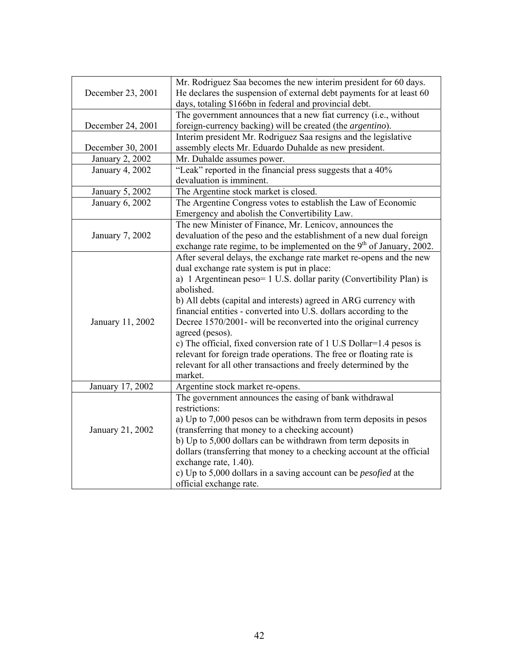|                        | Mr. Rodriguez Saa becomes the new interim president for 60 days.         |
|------------------------|--------------------------------------------------------------------------|
| December 23, 2001      | He declares the suspension of external debt payments for at least 60     |
|                        | days, totaling \$166bn in federal and provincial debt.                   |
|                        | The government announces that a new fiat currency (i.e., without         |
| December 24, 2001      | foreign-currency backing) will be created (the argentino).               |
|                        | Interim president Mr. Rodriguez Saa resigns and the legislative          |
| December 30, 2001      | assembly elects Mr. Eduardo Duhalde as new president.                    |
| January 2, 2002        | Mr. Duhalde assumes power.                                               |
| <b>January 4, 2002</b> | "Leak" reported in the financial press suggests that a 40%               |
|                        | devaluation is imminent.                                                 |
| January 5, 2002        | The Argentine stock market is closed.                                    |
| <b>January 6, 2002</b> | The Argentine Congress votes to establish the Law of Economic            |
|                        | Emergency and abolish the Convertibility Law.                            |
|                        | The new Minister of Finance, Mr. Lenicov, announces the                  |
| January 7, 2002        | devaluation of the peso and the establishment of a new dual foreign      |
|                        | exchange rate regime, to be implemented on the $9th$ of January, 2002.   |
|                        | After several delays, the exchange rate market re-opens and the new      |
|                        | dual exchange rate system is put in place:                               |
|                        | a) 1 Argentinean peso= 1 U.S. dollar parity (Convertibility Plan) is     |
|                        | abolished.                                                               |
|                        | b) All debts (capital and interests) agreed in ARG currency with         |
|                        | financial entities - converted into U.S. dollars according to the        |
| January 11, 2002       | Decree 1570/2001- will be reconverted into the original currency         |
|                        | agreed (pesos).                                                          |
|                        | c) The official, fixed conversion rate of 1 U.S Dollar=1.4 pesos is      |
|                        | relevant for foreign trade operations. The free or floating rate is      |
|                        | relevant for all other transactions and freely determined by the         |
|                        | market.                                                                  |
| January 17, 2002       | Argentine stock market re-opens.                                         |
|                        | The government announces the easing of bank withdrawal                   |
|                        | restrictions:                                                            |
|                        | a) Up to 7,000 pesos can be withdrawn from term deposits in pesos        |
| January 21, 2002       | (transferring that money to a checking account)                          |
|                        | b) Up to 5,000 dollars can be withdrawn from term deposits in            |
|                        | dollars (transferring that money to a checking account at the official   |
|                        | exchange rate, 1.40).                                                    |
|                        | c) Up to 5,000 dollars in a saving account can be <i>pesofied</i> at the |
|                        | official exchange rate.                                                  |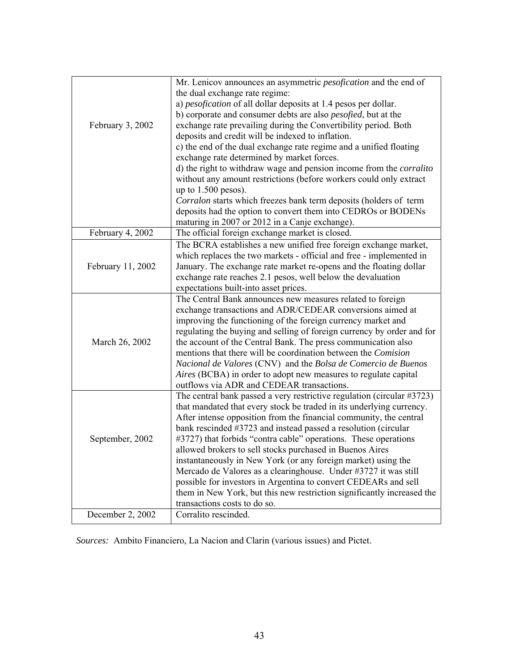|                   | Mr. Lenicov announces an asymmetric <i>pesofication</i> and the end of     |
|-------------------|----------------------------------------------------------------------------|
|                   | the dual exchange rate regime:                                             |
|                   | a) pesofication of all dollar deposits at 1.4 pesos per dollar.            |
|                   | b) corporate and consumer debts are also <i>pesofied</i> , but at the      |
| February 3, 2002  | exchange rate prevailing during the Convertibility period. Both            |
|                   | deposits and credit will be indexed to inflation.                          |
|                   | c) the end of the dual exchange rate regime and a unified floating         |
|                   | exchange rate determined by market forces.                                 |
|                   | d) the right to withdraw wage and pension income from the <i>corralito</i> |
|                   | without any amount restrictions (before workers could only extract         |
|                   | up to $1.500$ pesos).                                                      |
|                   | Corralon starts which freezes bank term deposits (holders of term          |
|                   |                                                                            |
|                   | deposits had the option to convert them into CEDROs or BODENs              |
|                   | maturing in 2007 or 2012 in a Canje exchange).                             |
| February 4, 2002  | The official foreign exchange market is closed.                            |
|                   | The BCRA establishes a new unified free foreign exchange market,           |
|                   | which replaces the two markets - official and free - implemented in        |
| February 11, 2002 | January. The exchange rate market re-opens and the floating dollar         |
|                   | exchange rate reaches 2.1 pesos, well below the devaluation                |
|                   | expectations built-into asset prices.                                      |
|                   | The Central Bank announces new measures related to foreign                 |
|                   | exchange transactions and ADR/CEDEAR conversions aimed at                  |
|                   | improving the functioning of the foreign currency market and               |
|                   | regulating the buying and selling of foreign currency by order and for     |
| March 26, 2002    | the account of the Central Bank. The press communication also              |
|                   | mentions that there will be coordination between the Comision              |
|                   | Nacional de Valores (CNV) and the Bolsa de Comercio de Buenos              |
|                   | Aires (BCBA) in order to adopt new measures to regulate capital            |
|                   | outflows via ADR and CEDEAR transactions.                                  |
|                   | The central bank passed a very restrictive regulation (circular #3723)     |
|                   | that mandated that every stock be traded in its underlying currency.       |
|                   | After intense opposition from the financial community, the central         |
|                   | bank rescinded #3723 and instead passed a resolution (circular             |
| September, 2002   | #3727) that forbids "contra cable" operations. These operations            |
|                   | allowed brokers to sell stocks purchased in Buenos Aires                   |
|                   | instantaneously in New York (or any foreign market) using the              |
|                   | Mercado de Valores as a clearinghouse. Under #3727 it was still            |
|                   | possible for investors in Argentina to convert CEDEARs and sell            |
|                   | them in New York, but this new restriction significantly increased the     |
|                   | transactions costs to do so.                                               |
|                   | Corralito rescinded.                                                       |
| December 2, 2002  |                                                                            |

*Sources:* Ambito Financiero, La Nacion and Clarin (various issues) and Pictet.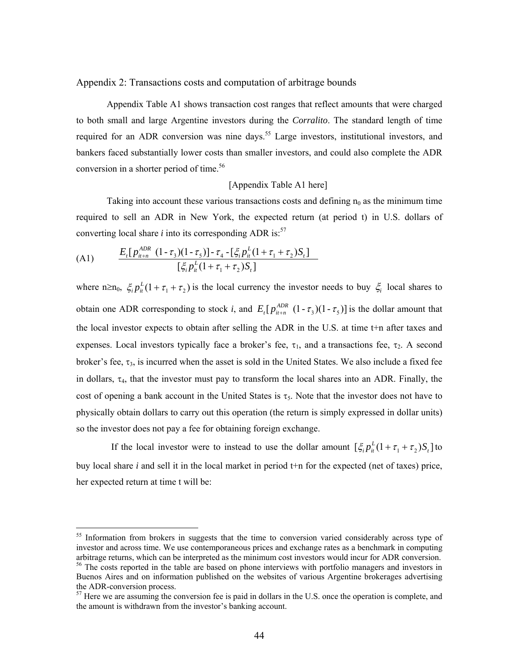Appendix 2: Transactions costs and computation of arbitrage bounds

Appendix Table A1 shows transaction cost ranges that reflect amounts that were charged to both small and large Argentine investors during the *Corralito*. The standard length of time required for an ADR conversion was nine days.<sup>55</sup> Large investors, institutional investors, and bankers faced substantially lower costs than smaller investors, and could also complete the ADR conversion in a shorter period of time.<sup>[56](#page-45-1)</sup>

#### [Appendix Table A1 here]

Taking into account these various transactions costs and defining  $n_0$  as the minimum time required to sell an ADR in New York, the expected return (at period t) in U.S. dollars of converting local share  $i$  into its corresponding ADR is:<sup>[57](#page-45-2)</sup>

(A1) 
$$
\frac{E_t[p_{i+n}^{ADR} (1-\tau_3)(1-\tau_5)] - \tau_4 - [\xi_i p_{i}^L (1+\tau_1+\tau_2)S_t]}{[\xi_i p_{i}^L (1+\tau_1+\tau_2)S_t]}
$$

 $\overline{a}$ 

where  $n \ge n_0$ ,  $\xi_i p_i^L (1 + \tau_1 + \tau_2)$  is the local currency the investor needs to buy  $\xi_i$  local shares to obtain one ADR corresponding to stock *i*, and  $E_t[p_{it+n}^{ADR}(1-\tau_3)(1-\tau_5)]$  is the dollar amount that the local investor expects to obtain after selling the ADR in the U.S. at time t+n after taxes and expenses. Local investors typically face a broker's fee,  $\tau_1$ , and a transactions fee,  $\tau_2$ . A second broker's fee,  $\tau_3$ , is incurred when the asset is sold in the United States. We also include a fixed fee in dollars,  $\tau_4$ , that the investor must pay to transform the local shares into an ADR. Finally, the cost of opening a bank account in the United States is  $\tau_5$ . Note that the investor does not have to physically obtain dollars to carry out this operation (the return is simply expressed in dollar units) so the investor does not pay a fee for obtaining foreign exchange.

If the local investor were to instead to use the dollar amount  $[\xi_i p_{ii}^L(1 + \tau_1 + \tau_2)S_i]$  to buy local share *i* and sell it in the local market in period t+n for the expected (net of taxes) price, her expected return at time t will be:

<span id="page-45-1"></span><span id="page-45-0"></span><sup>&</sup>lt;sup>55</sup> Information from brokers in suggests that the time to conversion varied considerably across type of investor and across time. We use contemporaneous prices and exchange rates as a benchmark in computing arbitrage returns, which can be interpreted as the minimum cost investors would incur for ADR conversion.  $56$  The costs reported in the table are based on phone interviews with portfolio managers and investors in Buenos Aires and on information published on the websites of various Argentine brokerages advertising the ADR-conversion process.<br><sup>57</sup> Here we are assuming the conversion fee is paid in dollars in the U.S. once the operation is complete, and

<span id="page-45-2"></span>the amount is withdrawn from the investor's banking account.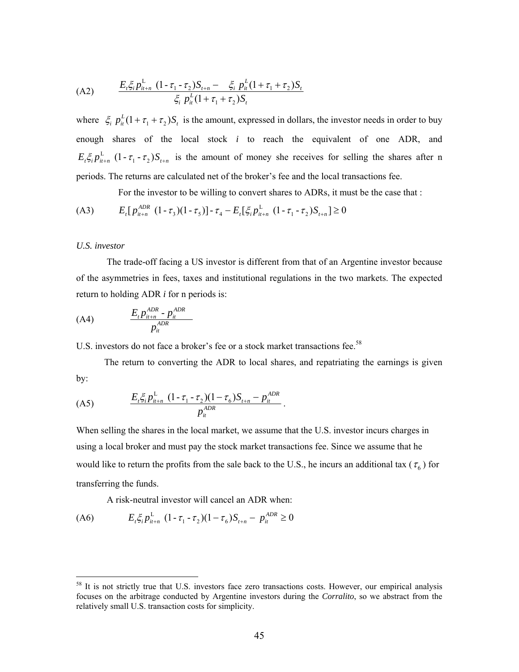(A2) 
$$
\frac{E_{t}\xi_{i}p_{it+n}^{L}(1-\tau_{1}-\tau_{2})S_{t+n}-\xi_{i} p_{it}^{L}(1+\tau_{1}+\tau_{2})S_{t}}{\xi_{i} p_{it}^{L}(1+\tau_{1}+\tau_{2})S_{t}}
$$

where  $\zeta_i$   $p_i^L (1 + \tau_1 + \tau_2) S_i$  is the amount, expressed in dollars, the investor needs in order to buy enough shares of the local stock *i* to reach the equivalent of one ADR, and  $E_t \xi_i p_{\mu+n}^{\text{L}} (1 - \tau_1 - \tau_2) S_{\mu+n}$  is the amount of money she receives for selling the shares after n periods. The returns are calculated net of the broker's fee and the local transactions fee.

For the investor to be willing to convert shares to ADRs, it must be the case that :

(A3) 
$$
E_t[p_{it+n}^{ADR} (1-\tau_3)(1-\tau_5)] - \tau_4 - E_t[\xi_i p_{it+n}^{L} (1-\tau_1-\tau_2)S_{t+n}] \ge 0
$$

#### *U.S. investor*

 $\overline{a}$ 

The trade-off facing a US investor is different from that of an Argentine investor because of the asymmetries in fees, taxes and institutional regulations in the two markets. The expected return to holding ADR *i* for n periods is:

$$
\text{(A4)} \quad \frac{E_{t}p_{it+n}^{ADR} - p_{it}^{ADR}}{p_{it}^{ADR}}
$$

U.S. investors do not face a broker's fee or a stock market transactions fee.<sup>58</sup>

 The return to converting the ADR to local shares, and repatriating the earnings is given by:

$$
\text{(A5)} \qquad \qquad \frac{E_{t}\xi_{i}p_{it+n}^{\text{L}}\ (1-\tau_{1}-\tau_{2})(1-\tau_{6})S_{t+n}-p_{it}^{ADR}}{p_{it}^{ADR}}\,.
$$

When selling the shares in the local market, we assume that the U.S. investor incurs charges in using a local broker and must pay the stock market transactions fee. Since we assume that he would like to return the profits from the sale back to the U.S., he incurs an additional tax ( $\tau_6$ ) for transferring the funds.

A risk-neutral investor will cancel an ADR when:

$$
(A6) \t Et \xii pu+nL (1 - \tau1 - \tau2)(1 - \tau6) St+n - puADR \ge 0
$$

<span id="page-46-0"></span><sup>&</sup>lt;sup>58</sup> It is not strictly true that U.S. investors face zero transactions costs. However, our empirical analysis focuses on the arbitrage conducted by Argentine investors during the *Corralito*, so we abstract from the relatively small U.S. transaction costs for simplicity.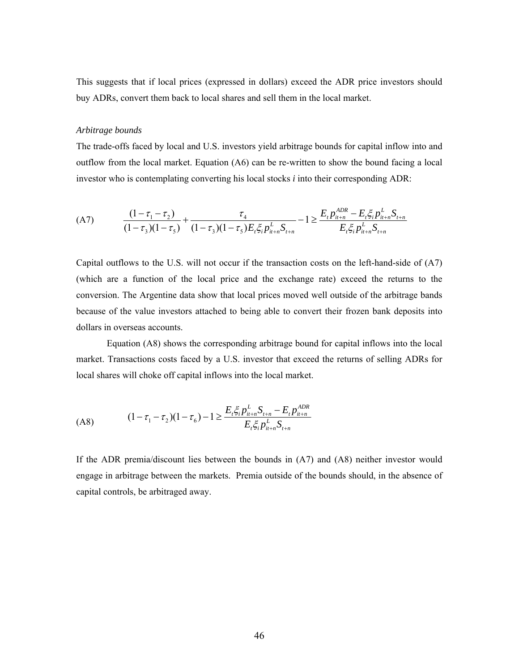This suggests that if local prices (expressed in dollars) exceed the ADR price investors should buy ADRs, convert them back to local shares and sell them in the local market.

#### *Arbitrage bounds*

The trade-offs faced by local and U.S. investors yield arbitrage bounds for capital inflow into and outflow from the local market. Equation (A6) can be re-written to show the bound facing a local investor who is contemplating converting his local stocks *i* into their corresponding ADR:

(A7) 
$$
\frac{(1-\tau_1-\tau_2)}{(1-\tau_3)(1-\tau_5)} + \frac{\tau_4}{(1-\tau_3)(1-\tau_5)E_t\xi_i p_{it+n}^L S_{t+n}} - 1 \ge \frac{E_t p_{it+n}^{ADR} - E_t\xi_i p_{it+n}^L S_{t+n}}{E_t\xi_i p_{it+n}^L S_{t+n}}
$$

Capital outflows to the U.S. will not occur if the transaction costs on the left-hand-side of (A7) (which are a function of the local price and the exchange rate) exceed the returns to the conversion. The Argentine data show that local prices moved well outside of the arbitrage bands because of the value investors attached to being able to convert their frozen bank deposits into dollars in overseas accounts.

Equation (A8) shows the corresponding arbitrage bound for capital inflows into the local market. Transactions costs faced by a U.S. investor that exceed the returns of selling ADRs for local shares will choke off capital inflows into the local market.

$$
(A8) \qquad (1 - \tau_1 - \tau_2)(1 - \tau_6) - 1 \ge \frac{E_t \xi_i p_{i+n}^L S_{t+n} - E_t p_{i+n}^{ADR}}{E_t \xi_i p_{i+n}^L S_{t+n}}
$$

If the ADR premia/discount lies between the bounds in (A7) and (A8) neither investor would engage in arbitrage between the markets. Premia outside of the bounds should, in the absence of capital controls, be arbitraged away.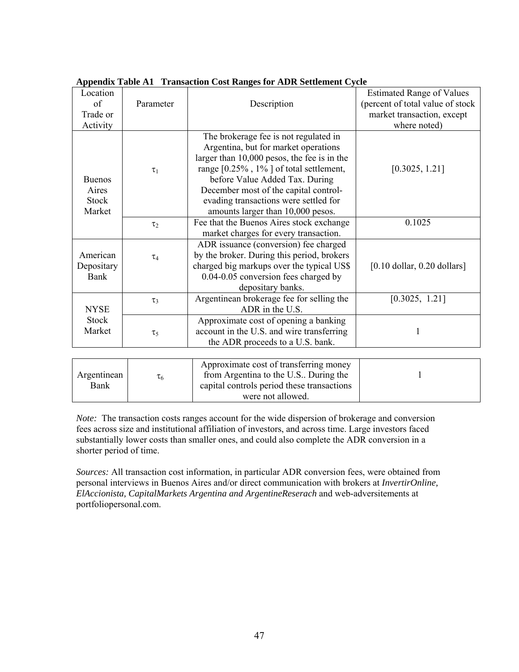|               |           | $\mu$ , $\mu$ , $\mu$ , $\mu$ , $\mu$ , $\mu$ , $\mu$ , $\mu$ , $\mu$ , $\mu$ , $\mu$ , $\mu$ , $\mu$ , $\mu$ , $\mu$ , $\mu$ |                                  |
|---------------|-----------|-------------------------------------------------------------------------------------------------------------------------------|----------------------------------|
| Location      |           |                                                                                                                               | <b>Estimated Range of Values</b> |
| of            | Parameter | Description                                                                                                                   | (percent of total value of stock |
| Trade or      |           |                                                                                                                               | market transaction, except       |
| Activity      |           |                                                                                                                               | where noted)                     |
|               |           | The brokerage fee is not regulated in                                                                                         |                                  |
|               |           | Argentina, but for market operations                                                                                          |                                  |
|               |           | larger than 10,000 pesos, the fee is in the                                                                                   |                                  |
|               | $\tau_1$  | range $[0.25\%$ , $1\%$ of total settlement,                                                                                  | [0.3025, 1.21]                   |
| <b>Buenos</b> |           | before Value Added Tax. During                                                                                                |                                  |
| Aires         |           | December most of the capital control-                                                                                         |                                  |
| <b>Stock</b>  |           | evading transactions were settled for                                                                                         |                                  |
| Market        |           | amounts larger than 10,000 pesos.                                                                                             |                                  |
|               | $\tau_2$  | Fee that the Buenos Aires stock exchange                                                                                      | 0.1025                           |
|               |           | market charges for every transaction.                                                                                         |                                  |
|               |           | ADR issuance (conversion) fee charged                                                                                         |                                  |
| American      | $\tau_4$  | by the broker. During this period, brokers                                                                                    |                                  |
| Depositary    |           | charged big markups over the typical US\$                                                                                     | $[0.10$ dollar, $0.20$ dollars]  |
| <b>Bank</b>   |           | 0.04-0.05 conversion fees charged by                                                                                          |                                  |
|               |           | depositary banks.                                                                                                             |                                  |
|               | $\tau_3$  | Argentinean brokerage fee for selling the                                                                                     | [0.3025, 1.21]                   |
| <b>NYSE</b>   |           | ADR in the U.S.                                                                                                               |                                  |
| Stock         |           | Approximate cost of opening a banking                                                                                         |                                  |
| Market        | $\tau_5$  | account in the U.S. and wire transferring                                                                                     | 1                                |
|               |           | the ADR proceeds to a U.S. bank.                                                                                              |                                  |
|               |           |                                                                                                                               |                                  |
|               |           | Approximate cost of transferring money                                                                                        |                                  |
| Argentinean   | $\tau$    | from Argentina to the U.S. During the                                                                                         |                                  |

| <b>Appendix Table A1 Transaction Cost Ranges for ADR Settlement Cycle</b> |  |  |
|---------------------------------------------------------------------------|--|--|
|                                                                           |  |  |

| Argentinean<br>Bank | T6 | Approximate cost of transferring money<br>from Argentina to the U.S During the<br>capital controls period these transactions<br>were not allowed. |  |
|---------------------|----|---------------------------------------------------------------------------------------------------------------------------------------------------|--|
|---------------------|----|---------------------------------------------------------------------------------------------------------------------------------------------------|--|

*Note:* The transaction costs ranges account for the wide dispersion of brokerage and conversion fees across size and institutional affiliation of investors, and across time. Large investors faced substantially lower costs than smaller ones, and could also complete the ADR conversion in a shorter period of time.

*Sources:* All transaction cost information, in particular ADR conversion fees, were obtained from personal interviews in Buenos Aires and/or direct communication with brokers at *InvertirOnline, ElAccionista, CapitalMarkets Argentina and ArgentineReserach* and web-adversitements at portfoliopersonal.com.